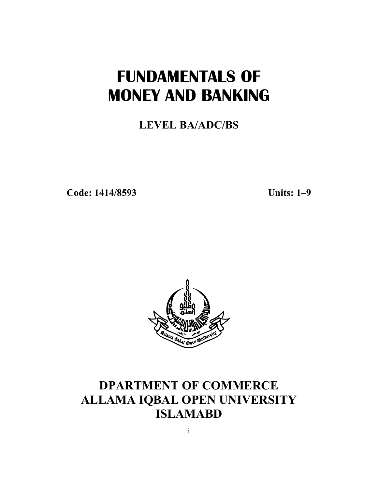# **FUNDAMENTALS OF MONEY AND BANKING**

## **LEVEL BA/ADC/BS**

**Code: 1414/8593**

**Units: 1 1–9**



## **DPARTMENT OF COMMERCE ALLAMA IQBAL OPEN UNIVERSITY ISLAMABD**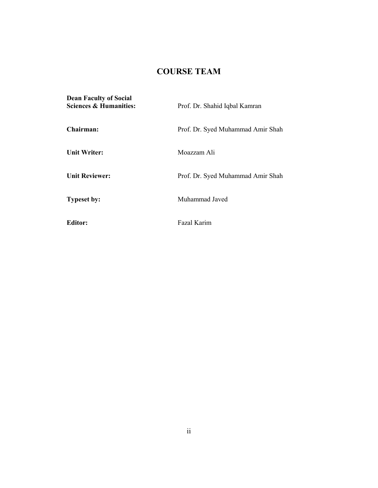## **COURSE TEAM**

| <b>Dean Faculty of Social</b><br>Sciences & Humanities: | Prof. Dr. Shahid Iqbal Kamran     |
|---------------------------------------------------------|-----------------------------------|
| Chairman:                                               | Prof. Dr. Syed Muhammad Amir Shah |
| <b>Unit Writer:</b>                                     | Moazzam Ali                       |
| <b>Unit Reviewer:</b>                                   | Prof. Dr. Syed Muhammad Amir Shah |
| <b>Typeset by:</b>                                      | Muhammad Javed                    |
| <b>Editor:</b>                                          | Fazal Karim                       |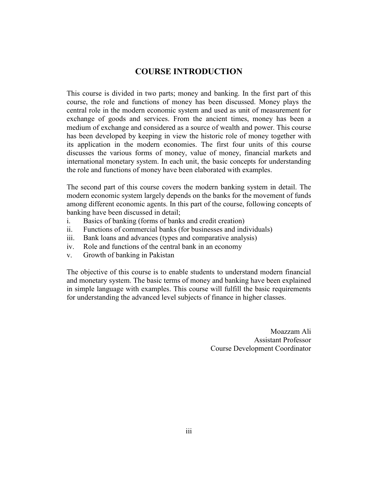## **COURSE INTRODUCTION**

This course is divided in two parts; money and banking. In the first part of this course, the role and functions of money has been discussed. Money plays the central role in the modern economic system and used as unit of measurement for exchange of goods and services. From the ancient times, money has been a medium of exchange and considered as a source of wealth and power. This course has been developed by keeping in view the historic role of money together with its application in the modern economies. The first four units of this course discusses the various forms of money, value of money, financial markets and international monetary system. In each unit, the basic concepts for understanding the role and functions of money have been elaborated with examples.

The second part of this course covers the modern banking system in detail. The modern economic system largely depends on the banks for the movement of funds among different economic agents. In this part of the course, following concepts of banking have been discussed in detail;

- i. Basics of banking (forms of banks and credit creation)
- ii. Functions of commercial banks (for businesses and individuals)
- iii. Bank loans and advances (types and comparative analysis)
- iv. Role and functions of the central bank in an economy
- v. Growth of banking in Pakistan

The objective of this course is to enable students to understand modern financial and monetary system. The basic terms of money and banking have been explained in simple language with examples. This course will fulfill the basic requirements for understanding the advanced level subjects of finance in higher classes.

> Moazzam Ali Assistant Professor Course Development Coordinator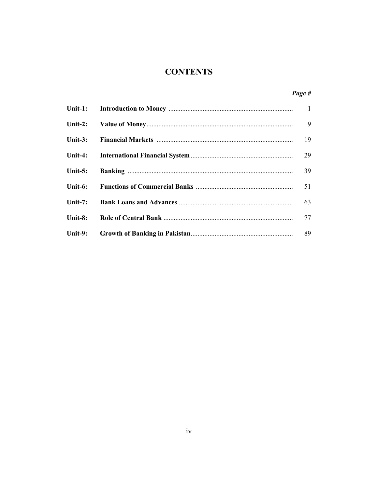## **CONTENTS**

|         | 9  |
|---------|----|
|         | 19 |
|         | 29 |
| Unit-5: | 39 |
|         | 51 |
| Unit-7: | 63 |
| Unit-8: | 77 |
| Unit-9: |    |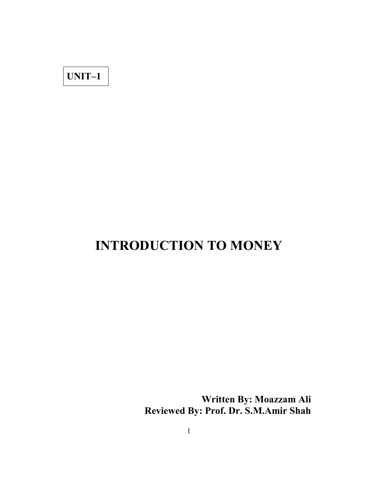## **UNIT–1**

# **INTRODUCTION TO MONEY**

**Written By: Moazzam Ali Reviewed By: Prof. Dr. S.M.Amir Shah**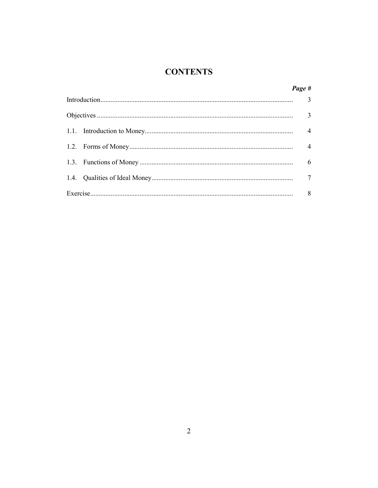## **CONTENTS**

|  | Page #         |
|--|----------------|
|  |                |
|  |                |
|  | $\overline{4}$ |
|  | $\overline{4}$ |
|  | 6              |
|  |                |
|  | 8              |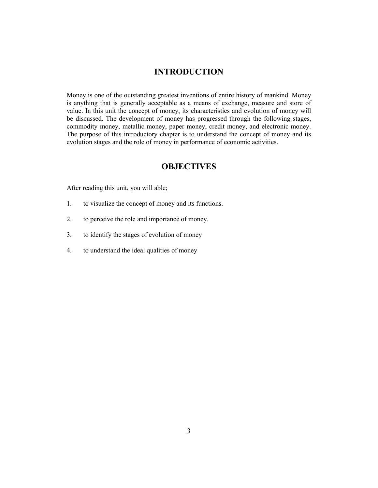## **INTRODUCTION**

Money is one of the outstanding greatest inventions of entire history of mankind. Money is anything that is generally acceptable as a means of exchange, measure and store of value. In this unit the concept of money, its characteristics and evolution of money will be discussed. The development of money has progressed through the following stages, commodity money, metallic money, paper money, credit money, and electronic money. The purpose of this introductory chapter is to understand the concept of money and its evolution stages and the role of money in performance of economic activities.

## **OBJECTIVES**

After reading this unit, you will able;

- 1. to visualize the concept of money and its functions.
- 2. to perceive the role and importance of money.
- 3. to identify the stages of evolution of money
- 4. to understand the ideal qualities of money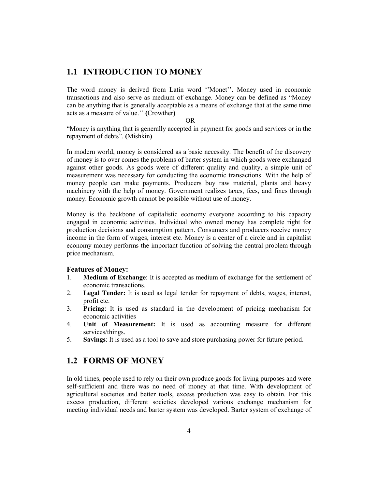## **1.1 INTRODUCTION TO MONEY**

The word money is derived from Latin word ''Monet''. Money used in economic transactions and also serve as medium of exchange. Money can be defined as "Money can be anything that is generally acceptable as a means of exchange that at the same time acts as a measure of value.'' **(**Crowther**)**

#### OR

"Money is anything that is generally accepted in payment for goods and services or in the repayment of debts". **(**Mishkin**)**

In modern world, money is considered as a basic necessity. The benefit of the discovery of money is to over comes the problems of barter system in which goods were exchanged against other goods. As goods were of different quality and quality, a simple unit of measurement was necessary for conducting the economic transactions. With the help of money people can make payments. Producers buy raw material, plants and heavy machinery with the help of money. Government realizes taxes, fees, and fines through money. Economic growth cannot be possible without use of money.

Money is the backbone of capitalistic economy everyone according to his capacity engaged in economic activities. Individual who owned money has complete right for production decisions and consumption pattern. Consumers and producers receive money income in the form of wages, interest etc. Money is a center of a circle and in capitalist economy money performs the important function of solving the central problem through price mechanism.

#### **Features of Money:**

- 1. **Medium of Exchange**: It is accepted as medium of exchange for the settlement of economic transactions.
- 2. **Legal Tender:** It is used as legal tender for repayment of debts, wages, interest, profit etc.
- 3. **Pricing**: It is used as standard in the development of pricing mechanism for economic activities
- 4. **Unit of Measurement:** It is used as accounting measure for different services/things.
- 5. **Savings**: It is used as a tool to save and store purchasing power for future period.

## **1.2 FORMS OF MONEY**

In old times, people used to rely on their own produce goods for living purposes and were self-sufficient and there was no need of money at that time. With development of agricultural societies and better tools, excess production was easy to obtain. For this excess production, different societies developed various exchange mechanism for meeting individual needs and barter system was developed. Barter system of exchange of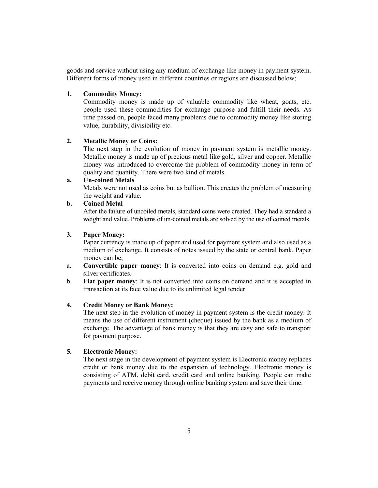goods and service without using any medium of exchange like money in payment system. Different forms of money used in different countries or regions are discussed below;

## **1. Commodity Money:**

Commodity money is made up of valuable commodity like wheat, goats, etc. people used these commodities for exchange purpose and fulfill their needs. As time passed on, people faced many problems due to commodity money like storing value, durability, divisibility etc.

## **2. Metallic Money or Coins:**

The next step in the evolution of money in payment system is metallic money. Metallic money is made up of precious metal like gold, silver and copper. Metallic money was introduced to overcome the problem of commodity money in term of quality and quantity. There were two kind of metals.

#### **a. Un-coined Metals**

Metals were not used as coins but as bullion. This creates the problem of measuring the weight and value.

## **b. Coined Metal**

After the failure of uncoiled metals, standard coins were created. They had a standard a weight and value. Problems of un-coined metals are solved by the use of coined metals.

### **3. Paper Money:**

Paper currency is made up of paper and used for payment system and also used as a medium of exchange. It consists of notes issued by the state or central bank. Paper money can be;

- a. **Convertible paper money**: It is converted into coins on demand e.g. gold and silver certificates.
- b. **Fiat paper money**: It is not converted into coins on demand and it is accepted in transaction at its face value due to its unlimited legal tender.

## **4. Credit Money or Bank Money:**

The next step in the evolution of money in payment system is the credit money. It means the use of different instrument (cheque) issued by the bank as a medium of exchange. The advantage of bank money is that they are easy and safe to transport for payment purpose.

#### **5. Electronic Money:**

The next stage in the development of payment system is Electronic money replaces credit or bank money due to the expansion of technology. Electronic money is consisting of ATM, debit card, credit card and online banking. People can make payments and receive money through online banking system and save their time.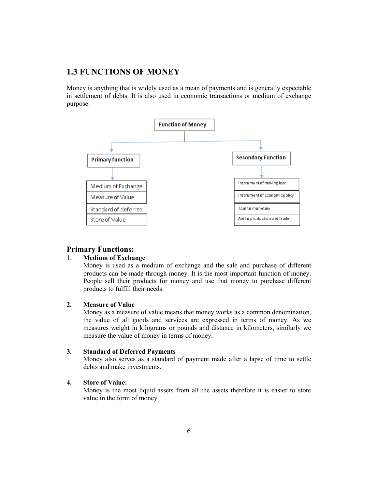## **1.3 FUNCTIONS OF MONEY**

Money is anything that is widely used as a mean of payments and is generally expectable Money is anything that is widely used as a mean of payments and is generally expectable in settlement of debts. It is also used in economic transactions or medium of exchange purpose.



## **Primary Functions:**

#### 1. **Medium of Exchange xchange**

Money is used as a medium of exchange and the sale and purchase of different products can be made through money. It is the most important function of money. People sell their products for money and use that money to purchase different products to fulfill their needs.

## **2. Measure of Value**

Money as a measure of value means that money works as a common denomination, the value of all goods and services are expressed in terms of money. As we measures weight in kilograms or pounds and distance in kilometers, similarly we measure the value of money in terms of money. can be made through money. It is the most important function of money.<br>
Ell their products for money and use that money to purchase different<br>
to fulfill their needs.<br> **of Value**<br>
c a measure of value means that money work

#### **3. Standard of Deferred P Payments**

Money also serves as a standard of payment made after a lapse of time to settle debts and make investments.

## **4. Store of Value:**

Money is the most liquid assets from all the assets therefore it is easier to store value in the form of money.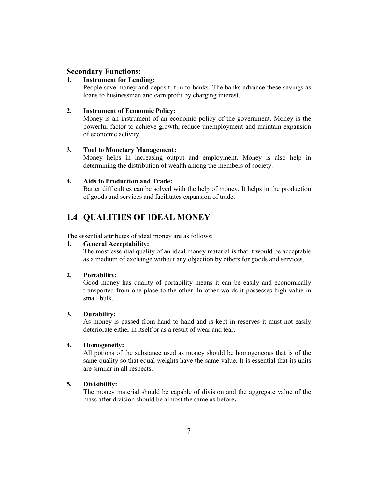## **Secondary Functions:**

#### **1. Instrument for Lending:**

People save money and deposit it in to banks. The banks advance these savings as loans to businessmen and earn profit by charging interest.

#### **2. Instrument of Economic Policy:**

Money is an instrument of an economic policy of the government. Money is the powerful factor to achieve growth, reduce unemployment and maintain expansion of economic activity.

#### **3. Tool to Monetary Management:**

Money helps in increasing output and employment. Money is also help in determining the distribution of wealth among the members of society.

#### **4. Aids to Production and Trade:**

Barter difficulties can be solved with the help of money. It helps in the production of goods and services and facilitates expansion of trade.

## **1.4 QUALITIES OF IDEAL MONEY**

The essential attributes of ideal money are as follows;

## **1. General Acceptability:**

The most essential quality of an ideal money material is that it would be acceptable as a medium of exchange without any objection by others for goods and services.

#### **2. Portability:**

Good money has quality of portability means it can be easily and economically transported from one place to the other. In other words it possesses high value in small bulk.

#### **3. Durability:**

As money is passed from hand to hand and is kept in reserves it must not easily deteriorate either in itself or as a result of wear and tear.

## **4. Homogeneity:**

All potions of the substance used as money should be homogeneous that is of the same quality so that equal weights have the same value. It is essential that its units are similar in all respects.

#### **5. Divisibility:**

The money material should be capable of division and the aggregate value of the mass after division should be almost the same as before**.**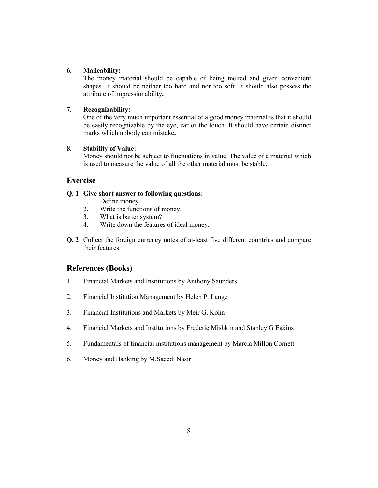## **6. Malleability:**

The money material should be capable of being melted and given convenient shapes. It should be neither too hard and nor too soft. It should also possess the attribute of impressionability**.**

## **7. Recognizability:**

One of the very much important essential of a good money material is that it should be easily recognizable by the eye, ear or the touch. It should have certain distinct marks which nobody can mistake**.**

### **8. Stability of Value:**

Money should not be subject to fluctuations in value. The value of a material which is used to measure the value of all the other material must be stable**.**

## **Exercise**

## **Q. 1 Give short answer to following questions:**

- 1. Define money.
- 2. Write the functions of money.
- 3. What is barter system?
- 4. Write down the features of ideal money.
- **Q. 2** Collect the foreign currency notes of at-least five different countries and compare their features.

## **References (Books)**

- 1. Financial Markets and Institutions by Anthony Saunders
- 2. Financial Institution Management by Helen P. Lange
- 3. Financial Institutions and Markets by Meir G. Kohn
- 4. Financial Markets and Institutions by Frederic Mishkin and Stanley G Eakins
- 5. Fundamentals of financial institutions management by Marcia Millon Cornett
- 6. Money and Banking by M.Saeed Nasir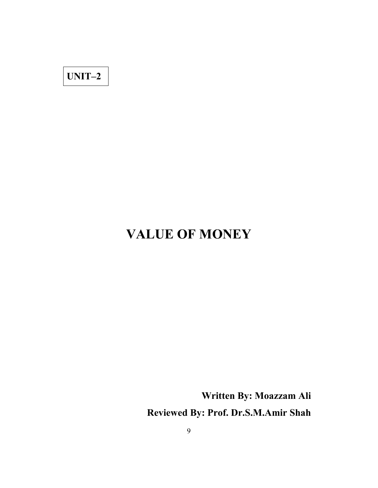**UNIT–2**

# **VALUE OF MONEY**

**Written By: Moazzam Ali Reviewed By: Prof. Dr.S.M.Amir Shah**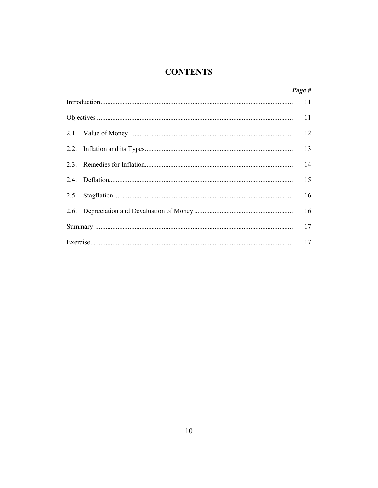## **CONTENTS**

|  | Page # |
|--|--------|
|  | 11     |
|  |        |
|  | 12     |
|  | 13     |
|  | 14     |
|  | 15     |
|  | 16     |
|  | 16     |
|  | 17     |
|  | 17     |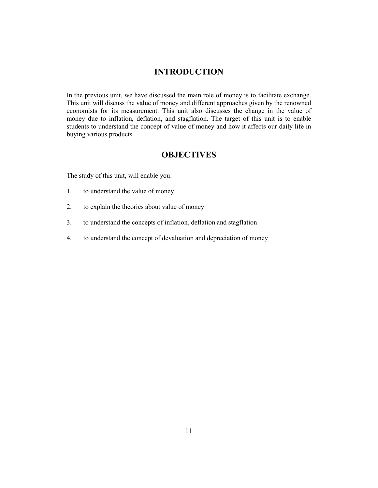## **INTRODUCTION**

In the previous unit, we have discussed the main role of money is to facilitate exchange. This unit will discuss the value of money and different approaches given by the renowned economists for its measurement. This unit also discusses the change in the value of money due to inflation, deflation, and stagflation. The target of this unit is to enable students to understand the concept of value of money and how it affects our daily life in buying various products.

## **OBJECTIVES**

The study of this unit, will enable you:

- 1. to understand the value of money
- 2. to explain the theories about value of money
- 3. to understand the concepts of inflation, deflation and stagflation
- 4. to understand the concept of devaluation and depreciation of money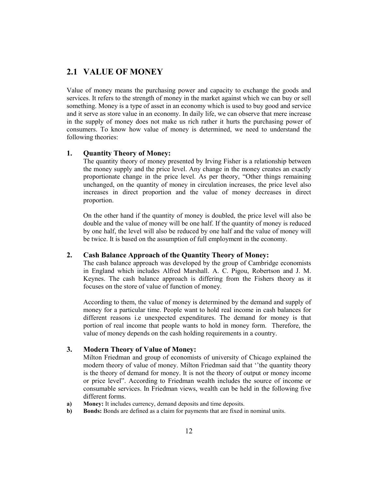## **2.1 VALUE OF MONEY**

Value of money means the purchasing power and capacity to exchange the goods and services. It refers to the strength of money in the market against which we can buy or sell something. Money is a type of asset in an economy which is used to buy good and service and it serve as store value in an economy. In daily life, we can observe that mere increase in the supply of money does not make us rich rather it hurts the purchasing power of consumers. To know how value of money is determined, we need to understand the following theories:

#### **1. Quantity Theory of Money:**

The quantity theory of money presented by Irving Fisher is a relationship between the money supply and the price level. Any change in the money creates an exactly proportionate change in the price level. As per theory, "Other things remaining unchanged, on the quantity of money in circulation increases, the price level also increases in direct proportion and the value of money decreases in direct proportion.

On the other hand if the quantity of money is doubled, the price level will also be double and the value of money will be one half. If the quantity of money is reduced by one half, the level will also be reduced by one half and the value of money will be twice. It is based on the assumption of full employment in the economy.

## **2. Cash Balance Approach of the Quantity Theory of Money:**

The cash balance approach was developed by the group of Cambridge economists in England which includes Alfred Marshall. A. C. Pigou, Robertson and J. M. Keynes. The cash balance approach is differing from the Fishers theory as it focuses on the store of value of function of money.

According to them, the value of money is determined by the demand and supply of money for a particular time. People want to hold real income in cash balances for different reasons i.e unexpected expenditures. The demand for money is that portion of real income that people wants to hold in money form. Therefore, the value of money depends on the cash holding requirements in a country.

## **3. Modern Theory of Value of Money:**

Milton Friedman and group of economists of university of Chicago explained the modern theory of value of money. Milton Friedman said that ''the quantity theory is the theory of demand for money. It is not the theory of output or money income or price level". According to Friedman wealth includes the source of income or consumable services. In Friedman views, wealth can be held in the following five different forms.

- **a) Money:** It includes currency, demand deposits and time deposits.
- **b) Bonds:** Bonds are defined as a claim for payments that are fixed in nominal units.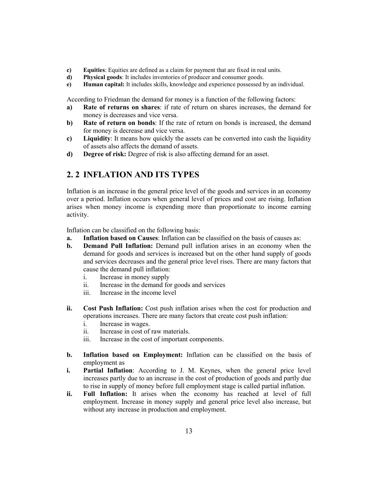- **c) Equities**: Equities are defined as a claim for payment that are fixed in real units.
- **d) Physical goods**: It includes inventories of producer and consumer goods.
- **e) Human capital:** It includes skills, knowledge and experience possessed by an individual.

According to Friedman the demand for money is a function of the following factors:

- **a) Rate of returns on shares**: if rate of return on shares increases, the demand for money is decreases and vice versa.
- **b) Rate of return on bonds**: If the rate of return on bonds is increased, the demand for money is decrease and vice versa.
- **c) Liquidity**: It means how quickly the assets can be converted into cash the liquidity of assets also affects the demand of assets.
- **d) Degree of risk:** Degree of risk is also affecting demand for an asset.

## **2. 2 INFLATION AND ITS TYPES**

Inflation is an increase in the general price level of the goods and services in an economy over a period. Inflation occurs when general level of prices and cost are rising. Inflation arises when money income is expending more than proportionate to income earning activity.

Inflation can be classified on the following basis:

- **a. Inflation based on Causes**: Inflation can be classified on the basis of causes as:
- **b. Demand Pull Inflation:** Demand pull inflation arises in an economy when the demand for goods and services is increased but on the other hand supply of goods and services decreases and the general price level rises. There are many factors that cause the demand pull inflation:
	- i. Increase in money supply
	- ii. Increase in the demand for goods and services
	- iii. Increase in the income level
- **ii. Cost Push Inflation:** Cost push inflation arises when the cost for production and operations increases. There are many factors that create cost push inflation:
	- i. Increase in wages.
	- ii. Increase in cost of raw materials.
	- iii. Increase in the cost of important components.
- **b. Inflation based on Employment:** Inflation can be classified on the basis of employment as
- **i. Partial Inflation**: According to J. M. Keynes, when the general price level increases partly due to an increase in the cost of production of goods and partly due to rise in supply of money before full employment stage is called partial inflation.
- **ii. Full Inflation:** It arises when the economy has reached at level of full employment. Increase in money supply and general price level also increase, but without any increase in production and employment.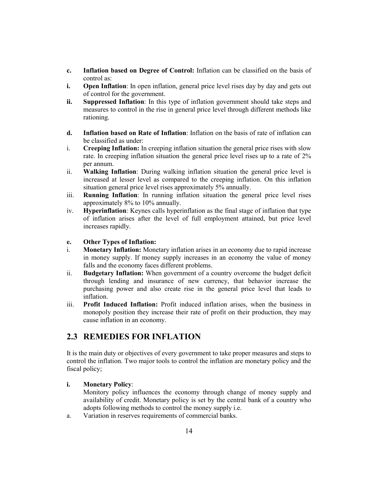- **c. Inflation based on Degree of Control:** Inflation can be classified on the basis of control as:
- **i. Open Inflation**: In open inflation, general price level rises day by day and gets out of control for the government.
- **ii. Suppressed Inflation**: In this type of inflation government should take steps and measures to control in the rise in general price level through different methods like rationing.
- **d. Inflation based on Rate of Inflation**: Inflation on the basis of rate of inflation can be classified as under:
- i. **Creeping Inflation:** In creeping inflation situation the general price rises with slow rate. In creeping inflation situation the general price level rises up to a rate of 2% per annum.
- ii. **Walking Inflation**: During walking inflation situation the general price level is increased at lesser level as compared to the creeping inflation. On this inflation situation general price level rises approximately 5% annually.
- iii. **Running Inflation**: In running inflation situation the general price level rises approximately 8% to 10% annually.
- iv. **Hyperinflation**: Keynes calls hyperinflation as the final stage of inflation that type of inflation arises after the level of full employment attained, but price level increases rapidly.

## **e. Other Types of Inflation:**

- i. **Monetary Inflation:** Monetary inflation arises in an economy due to rapid increase in money supply. If money supply increases in an economy the value of money falls and the economy faces different problems.
- ii. **Budgetary Inflation:** When government of a country overcome the budget deficit through lending and insurance of new currency, that behavior increase the purchasing power and also create rise in the general price level that leads to inflation.
- iii. **Profit Induced Inflation:** Profit induced inflation arises, when the business in monopoly position they increase their rate of profit on their production, they may cause inflation in an economy.

## **2.3 REMEDIES FOR INFLATION**

It is the main duty or objectives of every government to take proper measures and steps to control the inflation. Two major tools to control the inflation are monetary policy and the fiscal policy;

## **i. Monetary Policy**:

Monitory policy influences the economy through change of money supply and availability of credit. Monetary policy is set by the central bank of a country who adopts following methods to control the money supply i.e.

a. Variation in reserves requirements of commercial banks.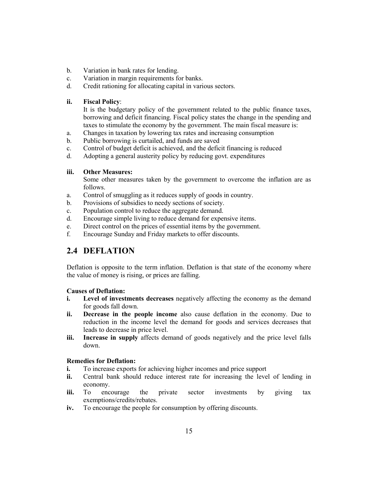- b. Variation in bank rates for lending.
- c. Variation in margin requirements for banks.
- d. Credit rationing for allocating capital in various sectors.

## **ii. Fiscal Policy**:

It is the budgetary policy of the government related to the public finance taxes, borrowing and deficit financing. Fiscal policy states the change in the spending and taxes to stimulate the economy by the government. The main fiscal measure is:

- a. Changes in taxation by lowering tax rates and increasing consumption
- b. Public borrowing is curtailed, and funds are saved
- c. Control of budget deficit is achieved, and the deficit financing is reduced
- d. Adopting a general austerity policy by reducing govt. expenditures

## **iii. Other Measures:**

Some other measures taken by the government to overcome the inflation are as follows.

- a. Control of smuggling as it reduces supply of goods in country.
- b. Provisions of subsidies to needy sections of society.
- c. Population control to reduce the aggregate demand.
- d. Encourage simple living to reduce demand for expensive items.
- e. Direct control on the prices of essential items by the government.
- f. Encourage Sunday and Friday markets to offer discounts.

## **2.4 DEFLATION**

Deflation is opposite to the term inflation. Deflation is that state of the economy where the value of money is rising, or prices are falling.

## **Causes of Deflation:**

- **i. Level of investments decreases** negatively affecting the economy as the demand for goods fall down.
- **ii. Decrease in the people income** also cause deflation in the economy. Due to reduction in the income level the demand for goods and services decreases that leads to decrease in price level.
- **iii. Increase in supply** affects demand of goods negatively and the price level falls down.

## **Remedies for Deflation:**

- **i.** To increase exports for achieving higher incomes and price support
- **ii.** Central bank should reduce interest rate for increasing the level of lending in economy.
- **iii.** To encourage the private sector investments by giving tax exemptions/credits/rebates.
- **iv.** To encourage the people for consumption by offering discounts.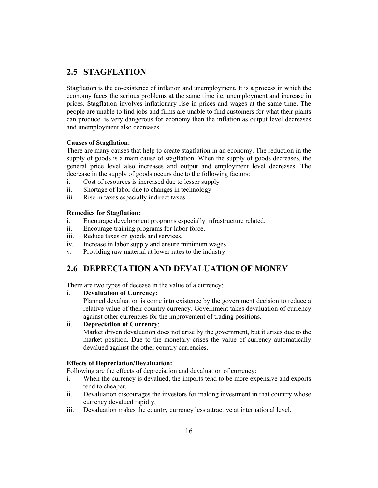## **2.5 STAGFLATION**

Stagflation is the co-existence of inflation and unemployment. It is a process in which the economy faces the serious problems at the same time i.e. unemployment and increase in prices. Stagflation involves inflationary rise in prices and wages at the same time. The people are unable to find jobs and firms are unable to find customers for what their plants can produce. is very dangerous for economy then the inflation as output level decreases and unemployment also decreases.

### **Causes of Stagflation:**

There are many causes that help to create stagflation in an economy. The reduction in the supply of goods is a main cause of stagflation. When the supply of goods decreases, the general price level also increases and output and employment level decreases. The decrease in the supply of goods occurs due to the following factors:

- i. Cost of resources is increased due to lesser supply
- ii. Shortage of labor due to changes in technology
- iii. Rise in taxes especially indirect taxes

#### **Remedies for Stagflation:**

- i. Encourage development programs especially infrastructure related.
- ii. Encourage training programs for labor force.
- iii. Reduce taxes on goods and services.
- iv. Increase in labor supply and ensure minimum wages
- v. Providing raw material at lower rates to the industry

## **2.6 DEPRECIATION AND DEVALUATION OF MONEY**

There are two types of decease in the value of a currency:

i. **Devaluation of Currency:**

Planned devaluation is come into existence by the government decision to reduce a relative value of their country currency. Government takes devaluation of currency against other currencies for the improvement of trading positions.

#### ii. **Depreciation of Currency**:

Market driven devaluation does not arise by the government, but it arises due to the market position. Due to the monetary crises the value of currency automatically devalued against the other country currencies.

#### **Effects of Depreciation/Devaluation:**

Following are the effects of depreciation and devaluation of currency:

- i. When the currency is devalued, the imports tend to be more expensive and exports tend to cheaper.
- ii. Devaluation discourages the investors for making investment in that country whose currency devalued rapidly.
- iii. Devaluation makes the country currency less attractive at international level.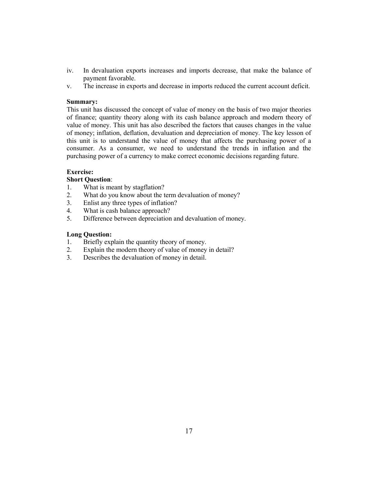- iv. In devaluation exports increases and imports decrease, that make the balance of payment favorable.
- v. The increase in exports and decrease in imports reduced the current account deficit.

### **Summary:**

This unit has discussed the concept of value of money on the basis of two major theories of finance; quantity theory along with its cash balance approach and modern theory of value of money. This unit has also described the factors that causes changes in the value of money; inflation, deflation, devaluation and depreciation of money. The key lesson of this unit is to understand the value of money that affects the purchasing power of a consumer. As a consumer, we need to understand the trends in inflation and the purchasing power of a currency to make correct economic decisions regarding future.

### **Exercise:**

## **Short Question**:

- 1. What is meant by stagflation?
- 2. What do you know about the term devaluation of money?
- 3. Enlist any three types of inflation?
- 4. What is cash balance approach?
- 5. Difference between depreciation and devaluation of money.

### **Long Question:**

- 1. Briefly explain the quantity theory of money.
- 2. Explain the modern theory of value of money in detail?
- 3. Describes the devaluation of money in detail.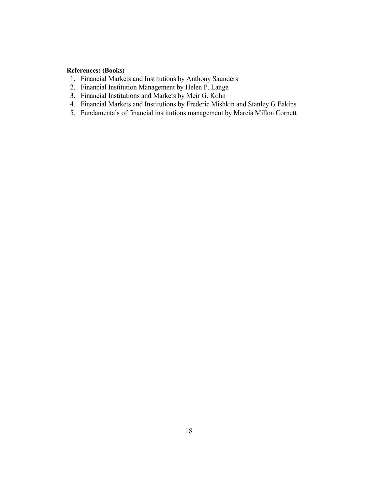## **References: (Books)**

- 1. Financial Markets and Institutions by Anthony Saunders
- 2. Financial Institution Management by Helen P. Lange
- 3. Financial Institutions and Markets by Meir G. Kohn
- 4. Financial Markets and Institutions by Frederic Mishkin and Stanley G Eakins
- 5. Fundamentals of financial institutions management by Marcia Millon Cornett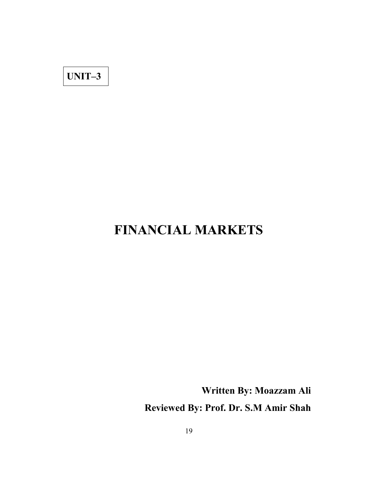## **UNIT–3**

# **FINANCIAL MARKETS**

**Written By: Moazzam Ali Reviewed By: Prof. Dr. S.M Amir Shah**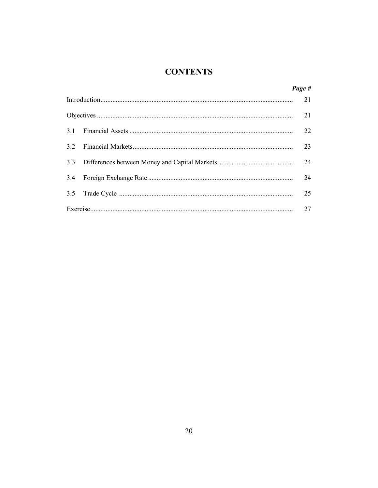## **CONTENTS**

|     | Page # |
|-----|--------|
|     | 21     |
|     | 21     |
|     | 22     |
| 3.2 | 23     |
| 3.3 | 24     |
|     | 24     |
|     | 25     |
|     | 27     |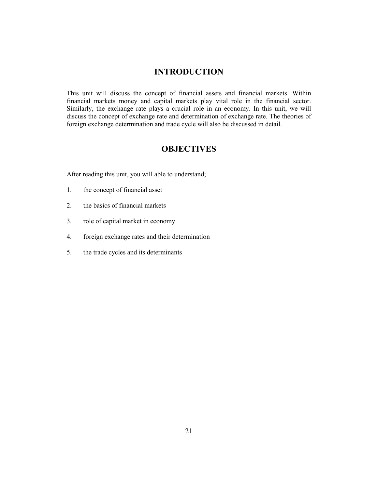## **INTRODUCTION**

This unit will discuss the concept of financial assets and financial markets. Within financial markets money and capital markets play vital role in the financial sector. Similarly, the exchange rate plays a crucial role in an economy. In this unit, we will discuss the concept of exchange rate and determination of exchange rate. The theories of foreign exchange determination and trade cycle will also be discussed in detail.

## **OBJECTIVES**

After reading this unit, you will able to understand;

- 1. the concept of financial asset
- 2. the basics of financial markets
- 3. role of capital market in economy
- 4. foreign exchange rates and their determination
- 5. the trade cycles and its determinants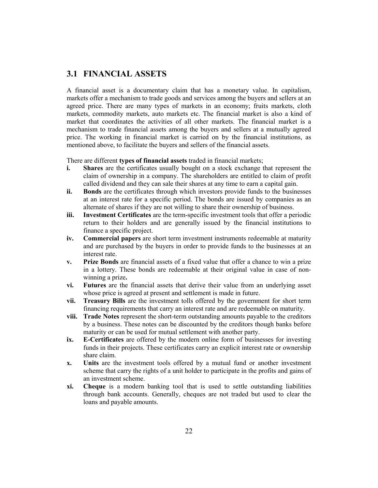## **3.1 FINANCIAL ASSETS**

A financial asset is a documentary claim that has a monetary value. In capitalism, markets offer a mechanism to trade goods and services among the buyers and sellers at an agreed price. There are many types of markets in an economy; fruits markets, cloth markets, commodity markets, auto markets etc. The financial market is also a kind of market that coordinates the activities of all other markets. The financial market is a mechanism to trade financial assets among the buyers and sellers at a mutually agreed price. The working in financial market is carried on by the financial institutions, as mentioned above, to facilitate the buyers and sellers of the financial assets.

There are different **types of financial assets** traded in financial markets;

- **i. Shares** are the certificates usually bought on a stock exchange that represent the claim of ownership in a company. The shareholders are entitled to claim of profit called dividend and they can sale their shares at any time to earn a capital gain.
- **ii. Bonds** are the certificates through which investors provide funds to the businesses at an interest rate for a specific period. The bonds are issued by companies as an alternate of shares if they are not willing to share their ownership of business.
- **iii. Investment Certificates** are the term-specific investment tools that offer a periodic return to their holders and are generally issued by the financial institutions to finance a specific project.
- **iv. Commercial papers** are short term investment instruments redeemable at maturity and are purchased by the buyers in order to provide funds to the businesses at an interest rate.
- **v. Prize Bonds** are financial assets of a fixed value that offer a chance to win a prize in a lottery. These bonds are redeemable at their original value in case of nonwinning a prize**.**
- **vi. Futures** are the financial assets that derive their value from an underlying asset whose price is agreed at present and settlement is made in future.
- **vii. Treasury Bills** are the investment tolls offered by the government for short term financing requirements that carry an interest rate and are redeemable on maturity.
- **viii. Trade Notes** represent the short-term outstanding amounts payable to the creditors by a business. These notes can be discounted by the creditors though banks before maturity or can be used for mutual settlement with another party.
- **ix. E-Certificates** are offered by the modern online form of businesses for investing funds in their projects. These certificates carry an explicit interest rate or ownership share claim.
- **x. Units** are the investment tools offered by a mutual fund or another investment scheme that carry the rights of a unit holder to participate in the profits and gains of an investment scheme.
- **xi. Cheque** is a modern banking tool that is used to settle outstanding liabilities through bank accounts. Generally, cheques are not traded but used to clear the loans and payable amounts.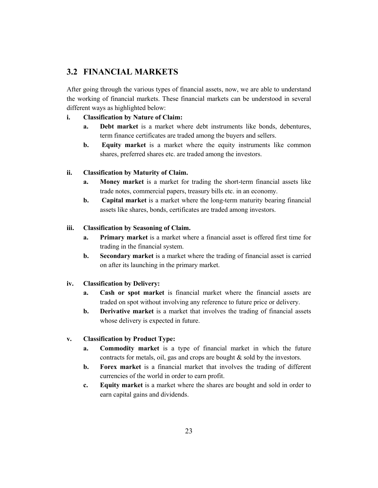## **3.2 FINANCIAL MARKETS**

After going through the various types of financial assets, now, we are able to understand the working of financial markets. These financial markets can be understood in several different ways as highlighted below:

## **i. Classification by Nature of Claim:**

- **a. Debt market** is a market where debt instruments like bonds, debentures, term finance certificates are traded among the buyers and sellers.
- **b. Equity market** is a market where the equity instruments like common shares, preferred shares etc. are traded among the investors.

## **ii. Classification by Maturity of Claim.**

- **a. Money market** is a market for trading the short-term financial assets like trade notes, commercial papers, treasury bills etc. in an economy.
- **b. Capital market** is a market where the long-term maturity bearing financial assets like shares, bonds, certificates are traded among investors.

## **iii. Classification by Seasoning of Claim.**

- **a. Primary market** is a market where a financial asset is offered first time for trading in the financial system.
- **b. Secondary market** is a market where the trading of financial asset is carried on after its launching in the primary market.

## **iv. Classification by Delivery:**

- **a. Cash or spot market** is financial market where the financial assets are traded on spot without involving any reference to future price or delivery.
- **b. Derivative market** is a market that involves the trading of financial assets whose delivery is expected in future.

## **v. Classification by Product Type:**

- **a. Commodity market** is a type of financial market in which the future contracts for metals, oil, gas and crops are bought & sold by the investors.
- **b. Forex market** is a financial market that involves the trading of different currencies of the world in order to earn profit.
- **c. Equity market** is a market where the shares are bought and sold in order to earn capital gains and dividends.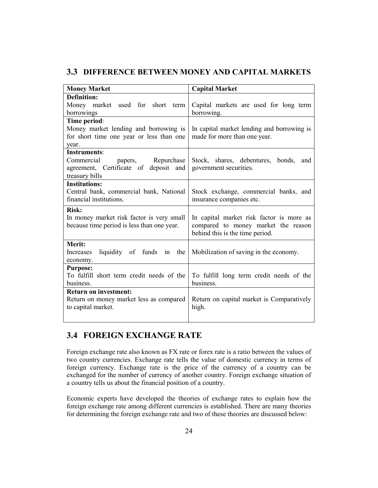## **3.3 DIFFERENCE BETWEEN MONEY AND CAPITAL MARKETS**

| <b>Money Market</b>                                           | <b>Capital Market</b>                                            |
|---------------------------------------------------------------|------------------------------------------------------------------|
| Definition:<br>Money market used for short term               |                                                                  |
| borrowings                                                    | Capital markets are used for long term<br>borrowing.             |
| Time period:                                                  |                                                                  |
| Money market lending and borrowing is                         | In capital market lending and borrowing is                       |
| for short time one year or less than one                      | made for more than one year.                                     |
| year.                                                         |                                                                  |
| <b>Instruments:</b>                                           |                                                                  |
| Commercial papers, Repurchase                                 | Stock, shares, debentures, bonds, and                            |
| agreement, Certificate of deposit and                         | government securities.                                           |
| treasury bills                                                |                                                                  |
| <b>Institutions:</b>                                          |                                                                  |
| Central bank, commercial bank, National                       | Stock exchange, commercial banks, and                            |
| financial institutions.                                       | insurance companies etc.                                         |
| <b>Risk:</b>                                                  |                                                                  |
| In money market risk factor is very small                     | In capital market risk factor is more as                         |
| because time period is less than one year.                    | compared to money market the reason                              |
|                                                               | behind this is the time period.                                  |
| Merit:                                                        |                                                                  |
| Increases                                                     | liquidity of funds in the Mobilization of saving in the economy. |
| economy.                                                      |                                                                  |
| <b>Purpose:</b>                                               |                                                                  |
| To fulfill short term credit needs of the                     | To fulfill long term credit needs of the                         |
| business.                                                     | business.                                                        |
| <b>Return on investment:</b>                                  |                                                                  |
| Return on money market less as compared<br>to capital market. | Return on capital market is Comparatively<br>high.               |
|                                                               |                                                                  |
|                                                               |                                                                  |

## **3.4 FOREIGN EXCHANGE RATE**

Foreign exchange rate also known as FX rate or forex rate is a ratio between the values of two country currencies. Exchange rate tells the value of domestic currency in terms of foreign currency. Exchange rate is the price of the currency of a country can be exchanged for the number of currency of another country. Foreign exchange situation of a country tells us about the financial position of a country.

Economic experts have developed the theories of exchange rates to explain how the foreign exchange rate among different currencies is established. There are many theories for determining the foreign exchange rate and two of these theories are discussed below: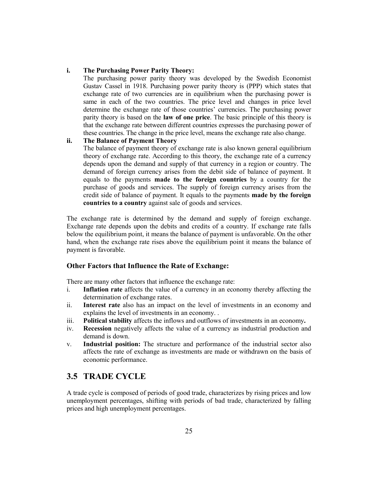### **i. The Purchasing Power Parity Theory:**

The purchasing power parity theory was developed by the Swedish Economist Gustav Cassel in 1918. Purchasing power parity theory is (PPP) which states that exchange rate of two currencies are in equilibrium when the purchasing power is same in each of the two countries. The price level and changes in price level determine the exchange rate of those countries' currencies. The purchasing power parity theory is based on the **law of one price**. The basic principle of this theory is that the exchange rate between different countries expresses the purchasing power of these countries. The change in the price level, means the exchange rate also change.

## **ii. The Balance of Payment Theory**

The balance of payment theory of exchange rate is also known general equilibrium theory of exchange rate. According to this theory, the exchange rate of a currency depends upon the demand and supply of that currency in a region or country. The demand of foreign currency arises from the debit side of balance of payment. It equals to the payments **made to the foreign countries** by a country for the purchase of goods and services. The supply of foreign currency arises from the credit side of balance of payment. It equals to the payments **made by the foreign countries to a country** against sale of goods and services.

The exchange rate is determined by the demand and supply of foreign exchange. Exchange rate depends upon the debits and credits of a country. If exchange rate falls below the equilibrium point, it means the balance of payment is unfavorable. On the other hand, when the exchange rate rises above the equilibrium point it means the balance of payment is favorable.

#### **Other Factors that Influence the Rate of Exchange:**

There are many other factors that influence the exchange rate:

- i. **Inflation rate** affects the value of a currency in an economy thereby affecting the determination of exchange rates.
- ii. **Interest rate** also has an impact on the level of investments in an economy and explains the level of investments in an economy. .
- iii. **Political stability** affects the inflows and outflows of investments in an economy**.**
- iv. **Recession** negatively affects the value of a currency as industrial production and demand is down.
- v. **Industrial position:** The structure and performance of the industrial sector also affects the rate of exchange as investments are made or withdrawn on the basis of economic performance.

## **3.5 TRADE CYCLE**

A trade cycle is composed of periods of good trade, characterizes by rising prices and low unemployment percentages, shifting with periods of bad trade, characterized by falling prices and high unemployment percentages.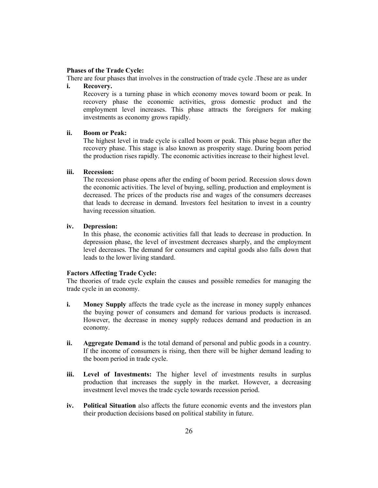## **Phases of the Trade Cycle:**

There are four phases that involves in the construction of trade cycle .These are as under

### **i. Recovery.**

Recovery is a turning phase in which economy moves toward boom or peak. In recovery phase the economic activities, gross domestic product and the employment level increases. This phase attracts the foreigners for making investments as economy grows rapidly.

#### **ii. Boom or Peak:**

The highest level in trade cycle is called boom or peak. This phase began after the recovery phase. This stage is also known as prosperity stage. During boom period the production rises rapidly. The economic activities increase to their highest level.

#### **iii. Recession:**

The recession phase opens after the ending of boom period. Recession slows down the economic activities. The level of buying, selling, production and employment is decreased. The prices of the products rise and wages of the consumers decreases that leads to decrease in demand. Investors feel hesitation to invest in a country having recession situation.

#### **iv. Depression:**

In this phase, the economic activities fall that leads to decrease in production. In depression phase, the level of investment decreases sharply, and the employment level decreases. The demand for consumers and capital goods also falls down that leads to the lower living standard.

#### **Factors Affecting Trade Cycle:**

The theories of trade cycle explain the causes and possible remedies for managing the trade cycle in an economy.

- **i. Money Supply** affects the trade cycle as the increase in money supply enhances the buying power of consumers and demand for various products is increased. However, the decrease in money supply reduces demand and production in an economy.
- **ii. Aggregate Demand** is the total demand of personal and public goods in a country. If the income of consumers is rising, then there will be higher demand leading to the boom period in trade cycle.
- **iii. Level of Investments:** The higher level of investments results in surplus production that increases the supply in the market. However, a decreasing investment level moves the trade cycle towards recession period.
- **iv. Political Situation** also affects the future economic events and the investors plan their production decisions based on political stability in future.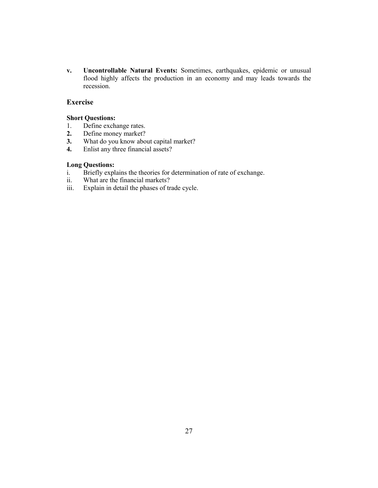**v. Uncontrollable Natural Events:** Sometimes, earthquakes, epidemic or unusual flood highly affects the production in an economy and may leads towards the recession.

## **Exercise**

### **Short Questions:**

- 1. Define exchange rates.<br>2. Define money market?
- **2.** Define money market?
- **3.** What do you know about capital market?<br>**4.** Enlist any three financial assets?
- **4.** Enlist any three financial assets?

## **Long Questions:**

- i. Briefly explains the theories for determination of rate of exchange.
- ii. What are the financial markets?
- iii. Explain in detail the phases of trade cycle.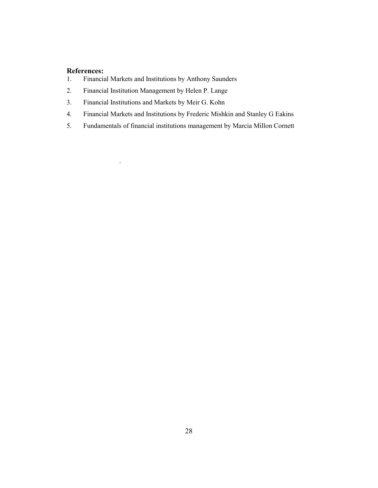## **References:**

.

- 1. Financial Markets and Institutions by Anthony Saunders
- 2. Financial Institution Management by Helen P. Lange
- 3. Financial Institutions and Markets by Meir G. Kohn
- 4. Financial Markets and Institutions by Frederic Mishkin and Stanley G Eakins
- 5. Fundamentals of financial institutions management by Marcia Millon Cornett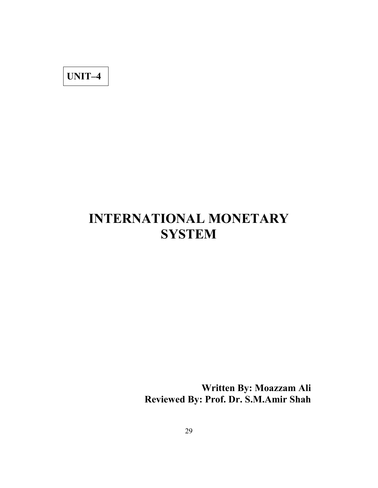**UNIT–4**

# **INTERNATIONAL MONETARY SYSTEM**

**Written By: Moazzam Ali Reviewed By: Prof. Dr. S.M.Amir Shah**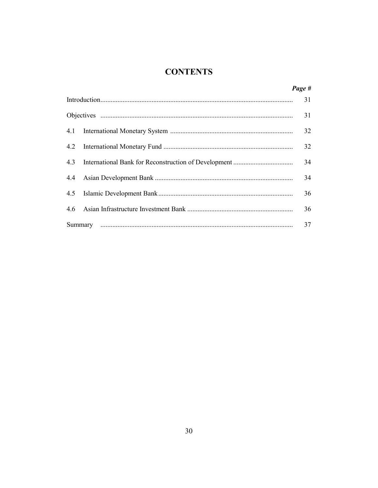## **CONTENTS**

|     | Page # |
|-----|--------|
|     | 31     |
|     | 31     |
|     | 32     |
|     | 32     |
| 4.3 | 34     |
|     | 34     |
|     | 36     |
|     | 36     |
|     | 37     |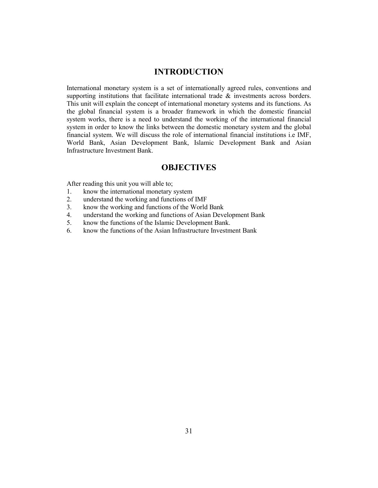## **INTRODUCTION**

International monetary system is a set of internationally agreed rules, conventions and supporting institutions that facilitate international trade  $\&$  investments across borders. This unit will explain the concept of international monetary systems and its functions. As the global financial system is a broader framework in which the domestic financial system works, there is a need to understand the working of the international financial system in order to know the links between the domestic monetary system and the global financial system. We will discuss the role of international financial institutions i.e IMF, World Bank, Asian Development Bank, Islamic Development Bank and Asian Infrastructure Investment Bank.

## **OBJECTIVES**

After reading this unit you will able to;

- 1. know the international monetary system<br>2. understand the working and functions of
- 2. understand the working and functions of IMF
- 3. know the working and functions of the World Bank
- 4. understand the working and functions of Asian Development Bank
- 5. know the functions of the Islamic Development Bank.
- 6. know the functions of the Asian Infrastructure Investment Bank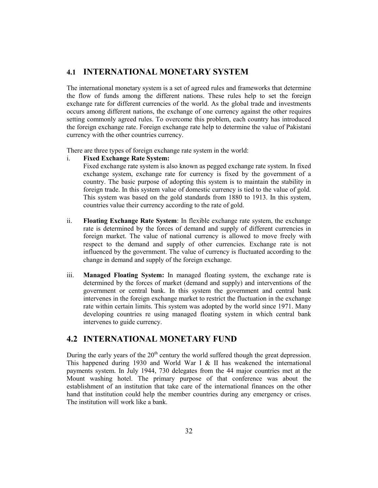## **4.1 INTERNATIONAL MONETARY SYSTEM**

The international monetary system is a set of agreed rules and frameworks that determine the flow of funds among the different nations. These rules help to set the foreign exchange rate for different currencies of the world. As the global trade and investments occurs among different nations, the exchange of one currency against the other requires setting commonly agreed rules. To overcome this problem, each country has introduced the foreign exchange rate. Foreign exchange rate help to determine the value of Pakistani currency with the other countries currency.

There are three types of foreign exchange rate system in the world:

#### i. **Fixed Exchange Rate System:**

Fixed exchange rate system is also known as pegged exchange rate system. In fixed exchange system, exchange rate for currency is fixed by the government of a country. The basic purpose of adopting this system is to maintain the stability in foreign trade. In this system value of domestic currency is tied to the value of gold. This system was based on the gold standards from 1880 to 1913. In this system, countries value their currency according to the rate of gold.

- ii. **Floating Exchange Rate System**: In flexible exchange rate system, the exchange rate is determined by the forces of demand and supply of different currencies in foreign market. The value of national currency is allowed to move freely with respect to the demand and supply of other currencies. Exchange rate is not influenced by the government. The value of currency is fluctuated according to the change in demand and supply of the foreign exchange.
- iii. **Managed Floating System:** In managed floating system, the exchange rate is determined by the forces of market (demand and supply) and interventions of the government or central bank. In this system the government and central bank intervenes in the foreign exchange market to restrict the fluctuation in the exchange rate within certain limits. This system was adopted by the world since 1971. Many developing countries re using managed floating system in which central bank intervenes to guide currency.

## **4.2 INTERNATIONAL MONETARY FUND**

During the early years of the  $20<sup>th</sup>$  century the world suffered though the great depression. This happened during 1930 and World War I  $&$  II has weakened the international payments system. In July 1944, 730 delegates from the 44 major countries met at the Mount washing hotel. The primary purpose of that conference was about the establishment of an institution that take care of the international finances on the other hand that institution could help the member countries during any emergency or crises. The institution will work like a bank.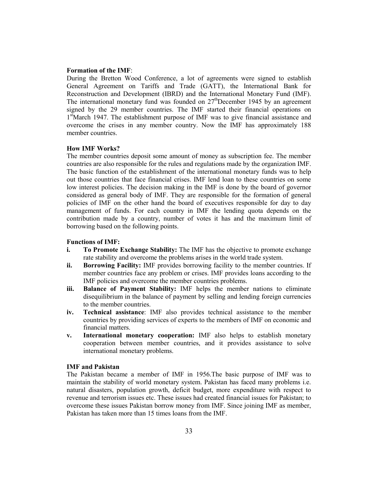#### **Formation of the IMF**:

During the Bretton Wood Conference, a lot of agreements were signed to establish General Agreement on Tariffs and Trade (GATT), the International Bank for Reconstruction and Development (IBRD) and the International Monetary Fund (IMF). The international monetary fund was founded on  $27<sup>th</sup>$ December 1945 by an agreement signed by the 29 member countries. The IMF started their financial operations on 1<sup>st</sup>March 1947. The establishment purpose of IMF was to give financial assistance and overcome the crises in any member country. Now the IMF has approximately 188 member countries.

#### **How IMF Works?**

The member countries deposit some amount of money as subscription fee. The member countries are also responsible for the rules and regulations made by the organization IMF. The basic function of the establishment of the international monetary funds was to help out those countries that face financial crises. IMF lend loan to these countries on some low interest policies. The decision making in the IMF is done by the board of governor considered as general body of IMF. They are responsible for the formation of general policies of IMF on the other hand the board of executives responsible for day to day management of funds. For each country in IMF the lending quota depends on the contribution made by a country, number of votes it has and the maximum limit of borrowing based on the following points.

#### **Functions of IMF:**

- **i. To Promote Exchange Stability:** The IMF has the objective to promote exchange rate stability and overcome the problems arises in the world trade system.
- **ii. Borrowing Facility:** IMF provides borrowing facility to the member countries. If member countries face any problem or crises. IMF provides loans according to the IMF policies and overcome the member countries problems.
- **iii. Balance of Payment Stability:** IMF helps the member nations to eliminate disequilibrium in the balance of payment by selling and lending foreign currencies to the member countries.
- **iv. Technical assistance**: IMF also provides technical assistance to the member countries by providing services of experts to the members of IMF on economic and financial matters.
- **v. International monetary cooperation:** IMF also helps to establish monetary cooperation between member countries, and it provides assistance to solve international monetary problems.

#### **IMF and Pakistan**

The Pakistan became a member of IMF in 1956.The basic purpose of IMF was to maintain the stability of world monetary system. Pakistan has faced many problems i.e. natural disasters, population growth, deficit budget, more expenditure with respect to revenue and terrorism issues etc. These issues had created financial issues for Pakistan; to overcome these issues Pakistan borrow money from IMF. Since joining IMF as member, Pakistan has taken more than 15 times loans from the IMF.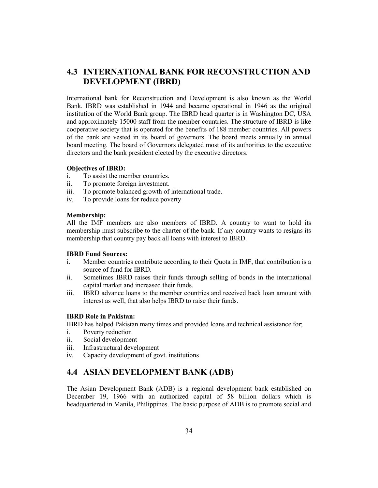## **4.3 INTERNATIONAL BANK FOR RECONSTRUCTION AND DEVELOPMENT (IBRD)**

International bank for Reconstruction and Development is also known as the World Bank. IBRD was established in 1944 and became operational in 1946 as the original institution of the World Bank group. The IBRD head quarter is in Washington DC, USA and approximately 15000 staff from the member countries. The structure of IBRD is like cooperative society that is operated for the benefits of 188 member countries. All powers of the bank are vested in its board of governors. The board meets annually in annual board meeting. The board of Governors delegated most of its authorities to the executive directors and the bank president elected by the executive directors.

#### **Objectives of IBRD:**

- i. To assist the member countries.
- ii. To promote foreign investment.
- iii. To promote balanced growth of international trade.
- iv. To provide loans for reduce poverty

## **Membership:**

All the IMF members are also members of IBRD. A country to want to hold its membership must subscribe to the charter of the bank. If any country wants to resigns its membership that country pay back all loans with interest to IBRD.

## **IBRD Fund Sources:**

- i. Member countries contribute according to their Quota in IMF, that contribution is a source of fund for IBRD.
- ii. Sometimes IBRD raises their funds through selling of bonds in the international capital market and increased their funds.
- iii. IBRD advance loans to the member countries and received back loan amount with interest as well, that also helps IBRD to raise their funds.

## **IBRD Role in Pakistan:**

IBRD has helped Pakistan many times and provided loans and technical assistance for;

- i. Poverty reduction
- ii. Social development
- iii. Infrastructural development
- iv. Capacity development of govt. institutions

## **4.4 ASIAN DEVELOPMENT BANK (ADB)**

The Asian Development Bank (ADB) is a regional development bank established on December 19, 1966 with an authorized capital of 58 billion dollars which is headquartered in Manila, Philippines. The basic purpose of ADB is to promote social and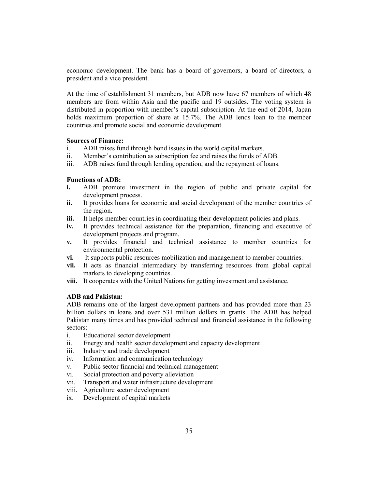economic development. The bank has a board of governors, a board of directors, a president and a vice president.

At the time of establishment 31 members, but ADB now have 67 members of which 48 members are from within Asia and the pacific and 19 outsides. The voting system is distributed in proportion with member's capital subscription. At the end of 2014, Japan holds maximum proportion of share at 15.7%. The ADB lends loan to the member countries and promote social and economic development

## **Sources of Finance:**

- i. ADB raises fund through bond issues in the world capital markets.
- ii. Member's contribution as subscription fee and raises the funds of ADB.
- iii. ADB raises fund through lending operation, and the repayment of loans.

## **Functions of ADB:**

- **i.** ADB promote investment in the region of public and private capital for development process.
- **ii.** It provides loans for economic and social development of the member countries of the region.
- **iii.** It helps member countries in coordinating their development policies and plans.
- **iv.** It provides technical assistance for the preparation, financing and executive of development projects and program.
- **v.** It provides financial and technical assistance to member countries for environmental protection.
- **vi.** It supports public resources mobilization and management to member countries.
- **vii.** It acts as financial intermediary by transferring resources from global capital markets to developing countries.
- **viii.** It cooperates with the United Nations for getting investment and assistance.

## **ADB and Pakistan:**

ADB remains one of the largest development partners and has provided more than 23 billion dollars in loans and over 531 million dollars in grants. The ADB has helped Pakistan many times and has provided technical and financial assistance in the following sectors:

- i. Educational sector development
- ii. Energy and health sector development and capacity development
- iii. Industry and trade development
- iv. Information and communication technology
- v. Public sector financial and technical management
- vi. Social protection and poverty alleviation
- vii. Transport and water infrastructure development
- viii. Agriculture sector development
- ix. Development of capital markets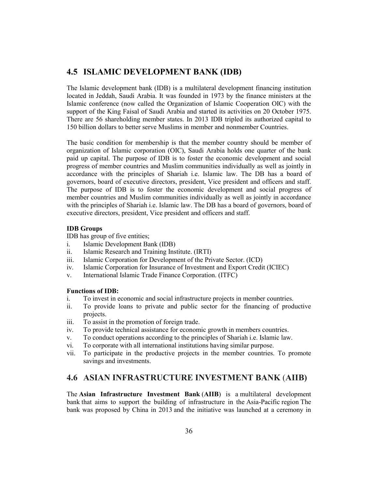## **4.5 ISLAMIC DEVELOPMENT BANK (IDB)**

The Islamic development bank (IDB) is a multilateral development financing institution located in Jeddah, Saudi Arabia. It was founded in 1973 by the finance ministers at the Islamic conference (now called the Organization of Islamic Cooperation OIC) with the support of the King Faisal of Saudi Arabia and started its activities on 20 October 1975. There are 56 shareholding member states. In 2013 IDB tripled its authorized capital to 150 billion dollars to better serve Muslims in member and nonmember Countries.

The basic condition for membership is that the member country should be member of organization of Islamic corporation (OIC), Saudi Arabia holds one quarter of the bank paid up capital. The purpose of IDB is to foster the economic development and social progress of member countries and Muslim communities individually as well as jointly in accordance with the principles of Shariah i.e. Islamic law. The DB has a board of governors, board of executive directors, president, Vice president and officers and staff. The purpose of IDB is to foster the economic development and social progress of member countries and Muslim communities individually as well as jointly in accordance with the principles of Shariah i.e. Islamic law. The DB has a board of governors, board of executive directors, president, Vice president and officers and staff.

### **IDB Groups**

IDB has group of five entities;

- i. Islamic Development Bank (IDB)
- ii. Islamic Research and Training Institute. (IRTI)
- iii. Islamic Corporation for Development of the Private Sector. (ICD)
- iv. Islamic Corporation for Insurance of Investment and Export Credit (ICIEC)
- v. International Islamic Trade Finance Corporation. (ITFC)

## **Functions of IDB:**

- i. To invest in economic and social infrastructure projects in member countries.
- ii. To provide loans to private and public sector for the financing of productive projects.
- iii. To assist in the promotion of foreign trade.
- iv. To provide technical assistance for economic growth in members countries.
- v. To conduct operations according to the principles of Shariah i.e. Islamic law.
- vi. To corporate with all international institutions having similar purpose.
- vii. To participate in the productive projects in the member countries. To promote savings and investments.

## **4.6 ASIAN INFRASTRUCTURE INVESTMENT BANK** (**AIIB)**

The **Asian Infrastructure Investment Bank** (**AIIB**) is a multilateral development bank that aims to support the building of infrastructure in the Asia-Pacific region The bank was proposed by China in 2013 and the initiative was launched at a ceremony in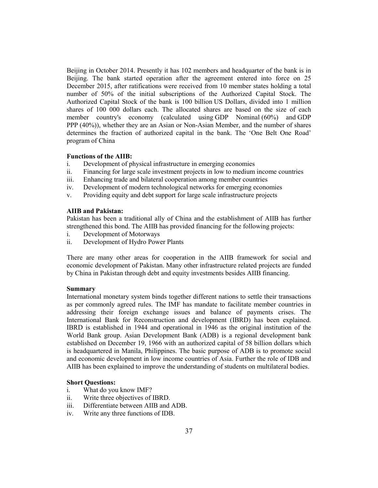Beijing in October 2014. Presently it has 102 members and headquarter of the bank is in Beijing. The bank started operation after the agreement entered into force on 25 December 2015, after ratifications were received from 10 member states holding a total number of 50% of the initial subscriptions of the Authorized Capital Stock. The Authorized Capital Stock of the bank is 100 billion US Dollars, divided into 1 million shares of 100 000 dollars each. The allocated shares are based on the size of each member country's economy (calculated using GDP Nominal (60%) and GDP PPP (40%)), whether they are an Asian or Non-Asian Member, and the number of shares determines the fraction of authorized capital in the bank. The 'One Belt One Road' program of China

### **Functions of the AIIB:**

- i. Development of physical infrastructure in emerging economies
- ii. Financing for large scale investment projects in low to medium income countries
- iii. Enhancing trade and bilateral cooperation among member countries
- iv. Development of modern technological networks for emerging economies
- v. Providing equity and debt support for large scale infrastructure projects

## **AIIB and Pakistan:**

Pakistan has been a traditional ally of China and the establishment of AIIB has further strengthened this bond. The AIIB has provided financing for the following projects:

- i. Development of Motorways
- ii. Development of Hydro Power Plants

There are many other areas for cooperation in the AIIB framework for social and economic development of Pakistan. Many other infrastructure related projects are funded by China in Pakistan through debt and equity investments besides AIIB financing.

#### **Summary**

International monetary system binds together different nations to settle their transactions as per commonly agreed rules. The IMF has mandate to facilitate member countries in addressing their foreign exchange issues and balance of payments crises. The International Bank for Reconstruction and development (IBRD) has been explained. IBRD is established in 1944 and operational in 1946 as the original institution of the World Bank group. Asian Development Bank (ADB) is a regional development bank established on December 19, 1966 with an authorized capital of 58 billion dollars which is headquartered in Manila, Philippines. The basic purpose of ADB is to promote social and economic development in low income countries of Asia. Further the role of IDB and AIIB has been explained to improve the understanding of students on multilateral bodies.

## **Short Questions:**

- i. What do you know IMF?
- ii. Write three objectives of IBRD.
- iii. Differentiate between AIIB and ADB.
- iv. Write any three functions of IDB.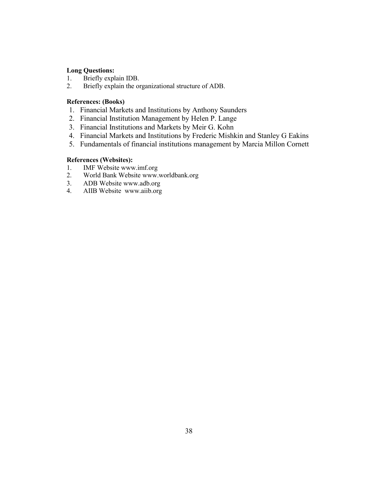# **Long Questions:**<br>1. Briefly expl

- Briefly explain IDB.
- 2. Briefly explain the organizational structure of ADB.

## **References: (Books)**

- 1. Financial Markets and Institutions by Anthony Saunders
- 2. Financial Institution Management by Helen P. Lange
- 3. Financial Institutions and Markets by Meir G. Kohn
- 4. Financial Markets and Institutions by Frederic Mishkin and Stanley G Eakins
- 5. Fundamentals of financial institutions management by Marcia Millon Cornett

## **References (Websites):**

- 1. **IMF Website www.imf.org**<br>2. **World Bank Website www.**
- 2. World Bank Website www.worldbank.org<br>3. ADB Website www.adb.org
- 3. ADB Website www.adb.org
- 4. AIIB Website www.aiib.org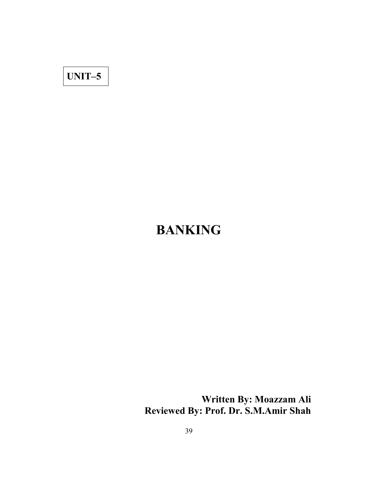# **UNIT–5**

# **BANKING**

**Written By: Moazzam Ali Reviewed By: Prof. Dr. S.M.Amir Shah**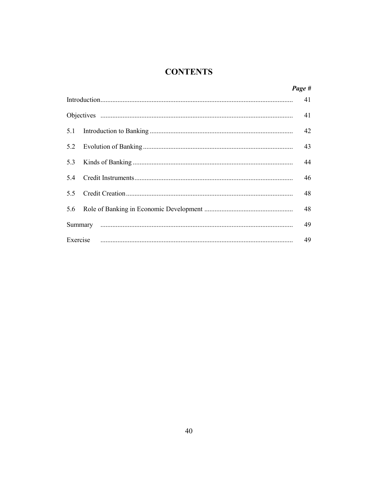## **CONTENTS**

|          | Page # |  |
|----------|--------|--|
|          |        |  |
|          |        |  |
| 5.1      | 42     |  |
| 5.2      | 43     |  |
| 5.3      | 44     |  |
| 5.4      | 46     |  |
| 5.5      | 48     |  |
| 5.6      | 48     |  |
|          | 49     |  |
| Exercise | 49     |  |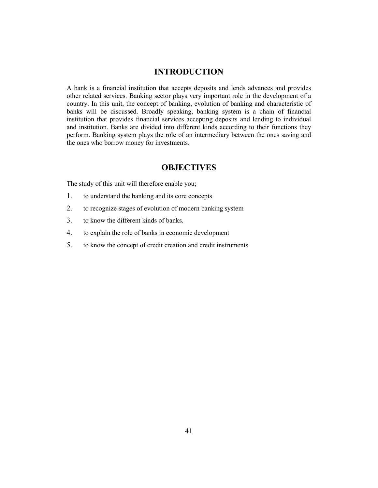## **INTRODUCTION**

A bank is a financial institution that accepts deposits and lends advances and provides other related services. Banking sector plays very important role in the development of a country. In this unit, the concept of banking, evolution of banking and characteristic of banks will be discussed. Broadly speaking, banking system is a chain of financial institution that provides financial services accepting deposits and lending to individual and institution. Banks are divided into different kinds according to their functions they perform. Banking system plays the role of an intermediary between the ones saving and the ones who borrow money for investments.

## **OBJECTIVES**

The study of this unit will therefore enable you;

- 1. to understand the banking and its core concepts
- 2. to recognize stages of evolution of modern banking system
- 3. to know the different kinds of banks.
- 4. to explain the role of banks in economic development
- 5. to know the concept of credit creation and credit instruments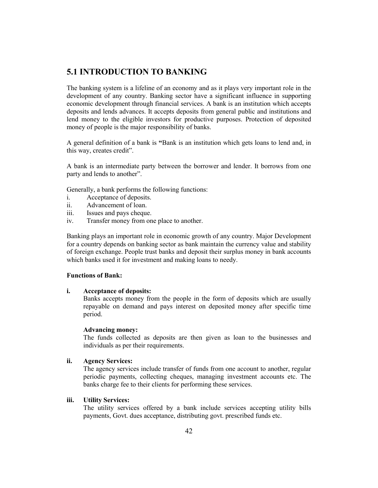## **5.1 INTRODUCTION TO BANKING**

The banking system is a lifeline of an economy and as it plays very important role in the development of any country. Banking sector have a significant influence in supporting economic development through financial services. A bank is an institution which accepts deposits and lends advances. It accepts deposits from general public and institutions and lend money to the eligible investors for productive purposes. Protection of deposited money of people is the major responsibility of banks.

A general definition of a bank is **"**Bank is an institution which gets loans to lend and, in this way, creates credit".

A bank is an intermediate party between the borrower and lender. It borrows from one party and lends to another".

Generally, a bank performs the following functions:

- i. Acceptance of deposits.
- ii. Advancement of loan.
- iii. Issues and pays cheque.
- iv. Transfer money from one place to another.

Banking plays an important role in economic growth of any country. Major Development for a country depends on banking sector as bank maintain the currency value and stability of foreign exchange. People trust banks and deposit their surplus money in bank accounts which banks used it for investment and making loans to needy.

## **Functions of Bank:**

#### **i. Acceptance of deposits:**

Banks accepts money from the people in the form of deposits which are usually repayable on demand and pays interest on deposited money after specific time period.

## **Advancing money:**

The funds collected as deposits are then given as loan to the businesses and individuals as per their requirements.

## **ii. Agency Services:**

The agency services include transfer of funds from one account to another, regular periodic payments, collecting cheques, managing investment accounts etc. The banks charge fee to their clients for performing these services.

## **iii. Utility Services:**

The utility services offered by a bank include services accepting utility bills payments, Govt. dues acceptance, distributing govt. prescribed funds etc.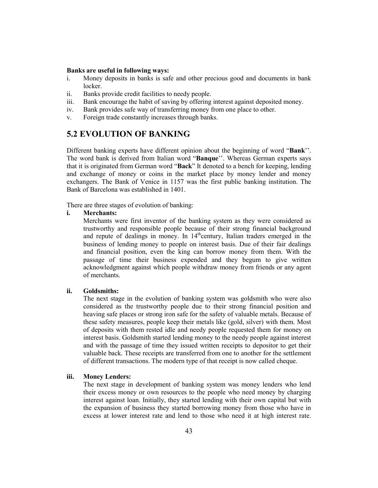### **Banks are useful in following ways:**

- i. Money deposits in banks is safe and other precious good and documents in bank locker.
- ii. Banks provide credit facilities to needy people.
- iii. Bank encourage the habit of saving by offering interest against deposited money.
- iv. Bank provides safe way of transferring money from one place to other.
- v. Foreign trade constantly increases through banks.

## **5.2 EVOLUTION OF BANKING**

Different banking experts have different opinion about the beginning of word "**Bank**''. The word bank is derived from Italian word "**Banque**''. Whereas German experts says that it is originated from German word "**Back**" It denoted to a bench for keeping, lending and exchange of money or coins in the market place by money lender and money exchangers. The Bank of Venice in 1157 was the first public banking institution. The Bank of Barcelona was established in 1401.

There are three stages of evolution of banking:

## **i. Merchants:**

Merchants were first inventor of the banking system as they were considered as trustworthy and responsible people because of their strong financial background and repute of dealings in money. In  $14<sup>th</sup>$ century, Italian traders emerged in the business of lending money to people on interest basis. Due of their fair dealings and financial position, even the king can borrow money from them. With the passage of time their business expended and they begum to give written acknowledgment against which people withdraw money from friends or any agent of merchants.

#### **ii. Goldsmiths:**

The next stage in the evolution of banking system was goldsmith who were also considered as the trustworthy people due to their strong financial position and heaving safe places or strong iron safe for the safety of valuable metals. Because of these safety measures, people keep their metals like (gold, silver) with them. Most of deposits with them rested idle and needy people requested them for money on interest basis. Goldsmith started lending money to the needy people against interest and with the passage of time they issued written receipts to depositor to get their valuable back. These receipts are transferred from one to another for the settlement of different transactions. The modern type of that receipt is now called cheque.

### **iii. Money Lenders:**

The next stage in development of banking system was money lenders who lend their excess money or own resources to the people who need money by charging interest against loan. Initially, they started lending with their own capital but with the expansion of business they started borrowing money from those who have in excess at lower interest rate and lend to those who need it at high interest rate.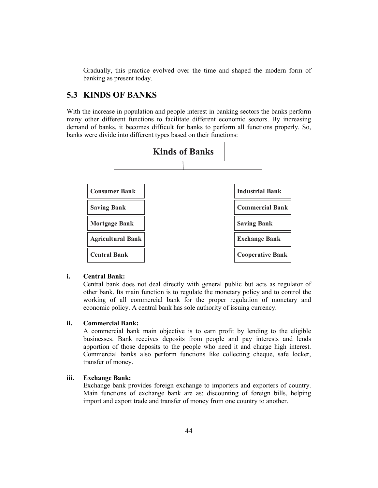Gradually, this practice evolved over the time and shaped the modern form of banking as present today.

## **5.3 KINDS OF BANKS**

With the increase in population and people interest in banking sectors the banks perform many other different functions to facilitate different economic sectors. By increasing demand of banks, it becomes difficult for banks to perform all functions properly. So, banks were divide into different types based on their functions:



## **i. Central Bank:**

Central bank does not deal directly with general public but acts as regulator of other bank. Its main function is to regulate the monetary policy and to control the working of all commercial bank for the proper regulation of monetary and economic policy. A central bank has sole authority of issuing currency.

## **ii. Commercial Bank:**

A commercial bank main objective is to earn profit by lending to the eligible businesses. Bank receives deposits from people and pay interests and lends apportion of those deposits to the people who need it and charge high interest. Commercial banks also perform functions like collecting cheque, safe locker, transfer of money.

### **iii. Exchange Bank:**

Exchange bank provides foreign exchange to importers and exporters of country. Main functions of exchange bank are as: discounting of foreign bills, helping import and export trade and transfer of money from one country to another.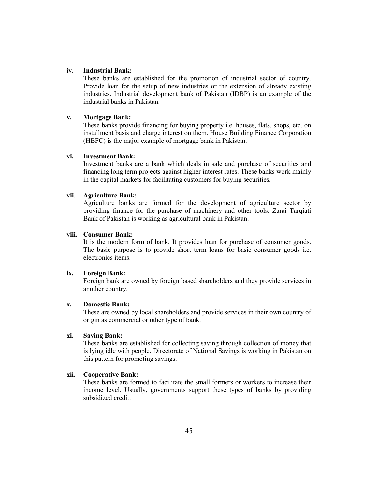## **iv. Industrial Bank:**

These banks are established for the promotion of industrial sector of country. Provide loan for the setup of new industries or the extension of already existing industries. Industrial development bank of Pakistan (IDBP) is an example of the industrial banks in Pakistan.

## **v. Mortgage Bank:**

These banks provide financing for buying property i.e. houses, flats, shops, etc. on installment basis and charge interest on them. House Building Finance Corporation (HBFC) is the major example of mortgage bank in Pakistan.

### **vi. Investment Bank:**

Investment banks are a bank which deals in sale and purchase of securities and financing long term projects against higher interest rates. These banks work mainly in the capital markets for facilitating customers for buying securities.

## **vii. Agriculture Bank:**

Agriculture banks are formed for the development of agriculture sector by providing finance for the purchase of machinery and other tools. Zarai Tarqiati Bank of Pakistan is working as agricultural bank in Pakistan.

## **viii. Consumer Bank:**

It is the modern form of bank. It provides loan for purchase of consumer goods. The basic purpose is to provide short term loans for basic consumer goods i.e. electronics items.

## **ix. Foreign Bank:**

Foreign bank are owned by foreign based shareholders and they provide services in another country.

## **x. Domestic Bank:**

These are owned by local shareholders and provide services in their own country of origin as commercial or other type of bank.

## **xi. Saving Bank:**

These banks are established for collecting saving through collection of money that is lying idle with people. Directorate of National Savings is working in Pakistan on this pattern for promoting savings.

## **xii. Cooperative Bank:**

These banks are formed to facilitate the small formers or workers to increase their income level. Usually, governments support these types of banks by providing subsidized credit.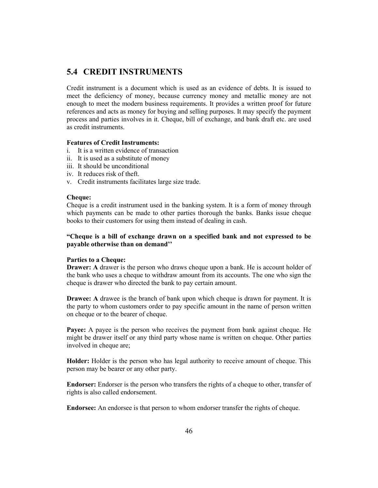## **5.4 CREDIT INSTRUMENTS**

Credit instrument is a document which is used as an evidence of debts. It is issued to meet the deficiency of money, because currency money and metallic money are not enough to meet the modern business requirements. It provides a written proof for future references and acts as money for buying and selling purposes. It may specify the payment process and parties involves in it. Cheque, bill of exchange, and bank draft etc. are used as credit instruments.

## **Features of Credit Instruments:**

- i. It is a written evidence of transaction
- ii. It is used as a substitute of money
- iii. It should be unconditional
- iv. It reduces risk of theft.
- v. Credit instruments facilitates large size trade.

### **Cheque:**

Cheque is a credit instrument used in the banking system. It is a form of money through which payments can be made to other parties thorough the banks. Banks issue cheque books to their customers for using them instead of dealing in cash.

## **"Cheque is a bill of exchange drawn on a specified bank and not expressed to be payable otherwise than on demand''**

## **Parties to a Cheque:**

**Drawer: A** drawer is the person who draws cheque upon a bank. He is account holder of the bank who uses a cheque to withdraw amount from its accounts. The one who sign the cheque is drawer who directed the bank to pay certain amount.

**Drawee: A** drawee is the branch of bank upon which cheque is drawn for payment. It is the party to whom customers order to pay specific amount in the name of person written on cheque or to the bearer of cheque.

**Payee:** A payee is the person who receives the payment from bank against cheque. He might be drawer itself or any third party whose name is written on cheque. Other parties involved in cheque are;

**Holder:** Holder is the person who has legal authority to receive amount of cheque. This person may be bearer or any other party.

**Endorser:** Endorser is the person who transfers the rights of a cheque to other, transfer of rights is also called endorsement.

**Endorsee:** An endorsee is that person to whom endorser transfer the rights of cheque.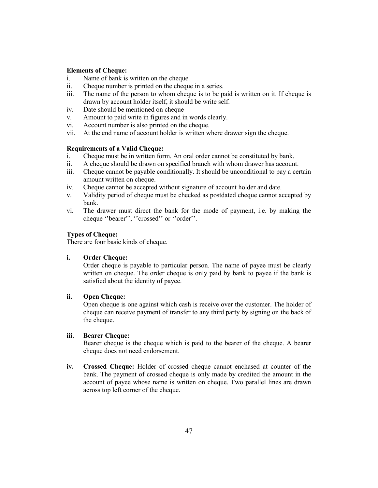## **Elements of Cheque:**

- i. Name of bank is written on the cheque.
- ii. Cheque number is printed on the cheque in a series.
- iii. The name of the person to whom cheque is to be paid is written on it. If cheque is drawn by account holder itself, it should be write self.
- iv. Date should be mentioned on cheque
- v. Amount to paid write in figures and in words clearly.
- vi. Account number is also printed on the cheque.
- vii. At the end name of account holder is written where drawer sign the cheque.

## **Requirements of a Valid Cheque:**

- i. Cheque must be in written form. An oral order cannot be constituted by bank.
- ii. A cheque should be drawn on specified branch with whom drawer has account.
- iii. Cheque cannot be payable conditionally. It should be unconditional to pay a certain amount written on cheque.
- iv. Cheque cannot be accepted without signature of account holder and date.
- v. Validity period of cheque must be checked as postdated cheque cannot accepted by bank.
- vi. The drawer must direct the bank for the mode of payment, i.e. by making the cheque ''bearer'', ''crossed'' or ''order''.

## **Types of Cheque:**

There are four basic kinds of cheque.

## **i. Order Cheque:**

Order cheque is payable to particular person. The name of payee must be clearly written on cheque. The order cheque is only paid by bank to payee if the bank is satisfied about the identity of payee.

## **ii. Open Cheque:**

Open cheque is one against which cash is receive over the customer. The holder of cheque can receive payment of transfer to any third party by signing on the back of the cheque.

## **iii. Bearer Cheque:**

Bearer cheque is the cheque which is paid to the bearer of the cheque. A bearer cheque does not need endorsement.

**iv. Crossed Cheque:** Holder of crossed cheque cannot enchased at counter of the bank. The payment of crossed cheque is only made by credited the amount in the account of payee whose name is written on cheque. Two parallel lines are drawn across top left corner of the cheque.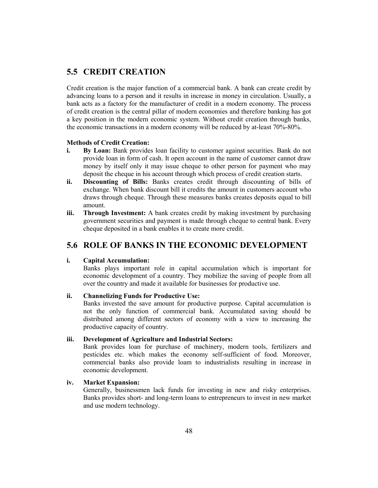## **5.5 CREDIT CREATION**

Credit creation is the major function of a commercial bank. A bank can create credit by advancing loans to a person and it results in increase in money in circulation. Usually, a bank acts as a factory for the manufacturer of credit in a modern economy. The process of credit creation is the central pillar of modern economies and therefore banking has got a key position in the modern economic system. Without credit creation through banks, the economic transactions in a modern economy will be reduced by at-least 70%-80%.

## **Methods of Credit Creation:**

- **i. By Loan:** Bank provides loan facility to customer against securities. Bank do not provide loan in form of cash. It open account in the name of customer cannot draw money by itself only it may issue cheque to other person for payment who may deposit the cheque in his account through which process of credit creation starts.
- **ii. Discounting of Bills:** Banks creates credit through discounting of bills of exchange. When bank discount bill it credits the amount in customers account who draws through cheque. Through these measures banks creates deposits equal to bill amount.
- **iii. Through Investment:** A bank creates credit by making investment by purchasing government securities and payment is made through cheque to central bank. Every cheque deposited in a bank enables it to create more credit.

## **5.6 ROLE OF BANKS IN THE ECONOMIC DEVELOPMENT**

## **i. Capital Accumulation:**

Banks plays important role in capital accumulation which is important for economic development of a country. They mobilize the saving of people from all over the country and made it available for businesses for productive use.

## **ii. Channelizing Funds for Productive Use:**

Banks invested the save amount for productive purpose. Capital accumulation is not the only function of commercial bank. Accumulated saving should be distributed among different sectors of economy with a view to increasing the productive capacity of country.

## **iii. Development of Agriculture and Industrial Sectors:**

Bank provides loan for purchase of machinery, modern tools, fertilizers and pesticides etc. which makes the economy self-sufficient of food. Moreover, commercial banks also provide loam to industrialists resulting in increase in economic development.

## **iv. Market Expansion:**

Generally, businessmen lack funds for investing in new and risky enterprises. Banks provides short- and long-term loans to entrepreneurs to invest in new market and use modern technology.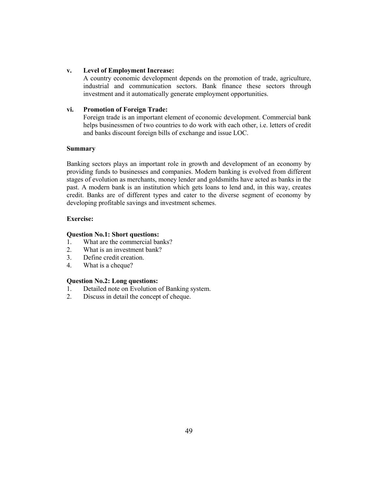## **v. Level of Employment Increase:**

A country economic development depends on the promotion of trade, agriculture, industrial and communication sectors. Bank finance these sectors through investment and it automatically generate employment opportunities.

## **vi. Promotion of Foreign Trade:**

Foreign trade is an important element of economic development. Commercial bank helps businessmen of two countries to do work with each other, i.e. letters of credit and banks discount foreign bills of exchange and issue LOC.

## **Summary**

Banking sectors plays an important role in growth and development of an economy by providing funds to businesses and companies. Modern banking is evolved from different stages of evolution as merchants, money lender and goldsmiths have acted as banks in the past. A modern bank is an institution which gets loans to lend and, in this way, creates credit. Banks are of different types and cater to the diverse segment of economy by developing profitable savings and investment schemes.

## **Exercise:**

## **Question No.1: Short questions:**

- 1. What are the commercial banks?
- 2. What is an investment bank?
- 3. Define credit creation.
- 4. What is a cheque?

## **Question No.2: Long questions:**

- 1. Detailed note on Evolution of Banking system.
- 2. Discuss in detail the concept of cheque.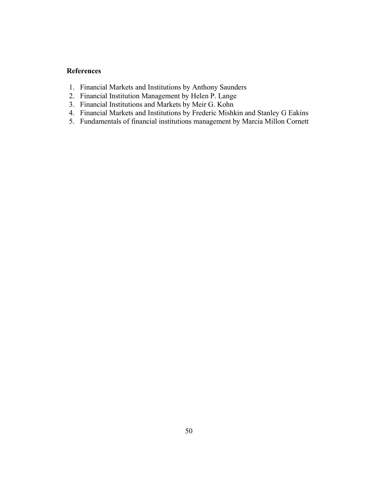## **References**

- 1. Financial Markets and Institutions by Anthony Saunders
- 2. Financial Institution Management by Helen P. Lange
- 3. Financial Institutions and Markets by Meir G. Kohn
- 4. Financial Markets and Institutions by Frederic Mishkin and Stanley G Eakins
- 5. Fundamentals of financial institutions management by Marcia Millon Cornett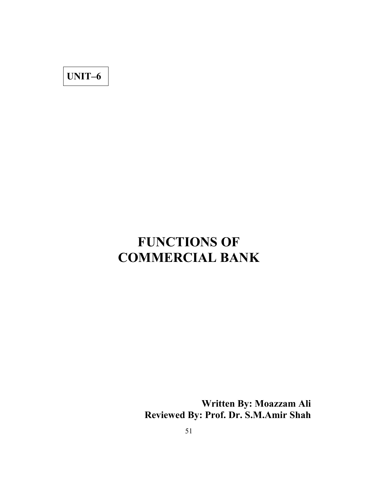**UNIT–6**

# **FUNCTIONS OF COMMERCIAL BANK**

**Written By: Moazzam Ali Reviewed By: Prof. Dr. S.M.Amir Shah**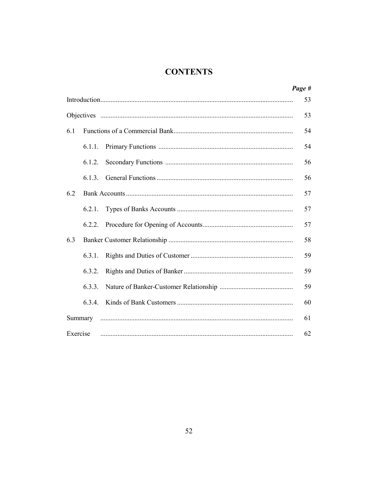## **CONTENTS**

|          |         | Page # |
|----------|---------|--------|
|          |         | 53     |
|          |         | 53     |
| 6.1      |         | 54     |
|          | 6.1.1.  | 54     |
|          | 6.1.2.  | 56     |
|          | 6.1.3.  | 56     |
| 6.2      |         | 57     |
|          |         | 57     |
|          | 6.2.2.  | 57     |
| 6.3      |         | 58     |
|          | 6.3.1.  | 59     |
|          | 6.3.2.  | 59     |
|          | 6.3.3.  | 59     |
|          | 6.3.4.  | 60     |
|          | Summary | 61     |
| Exercise |         | 62     |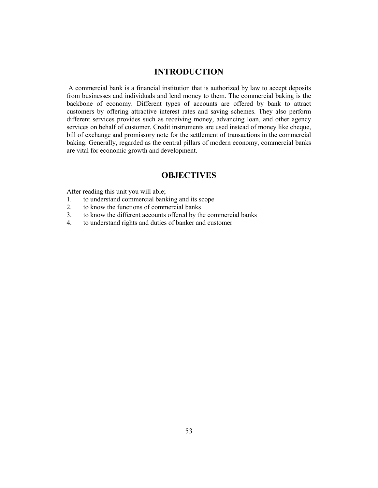## **INTRODUCTION**

A commercial bank is a financial institution that is authorized by law to accept deposits from businesses and individuals and lend money to them. The commercial baking is the backbone of economy. Different types of accounts are offered by bank to attract customers by offering attractive interest rates and saving schemes. They also perform different services provides such as receiving money, advancing loan, and other agency services on behalf of customer. Credit instruments are used instead of money like cheque, bill of exchange and promissory note for the settlement of transactions in the commercial baking. Generally, regarded as the central pillars of modern economy, commercial banks are vital for economic growth and development.

## **OBJECTIVES**

After reading this unit you will able;

- 1. to understand commercial banking and its scope
- 2. to know the functions of commercial banks
- 3. to know the different accounts offered by the commercial banks
- 4. to understand rights and duties of banker and customer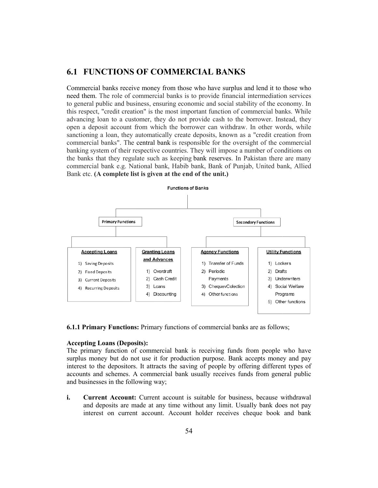## **6.1 FUNCTIONS OF COMMERCIAL BANKS**

Commercial banks receive money from those who have surplus and lend it to those who Commercial banks receive money from those who have surplus and lend it to those who need them. The role of commercial banks is to provide financial intermediation services to general public and business, ensuring economic and social stability of the economy. In this respect, "credit creation" is the most important function of commercial banks. While advancing loan to a customer, they do not provide cash to the borrower. Instead, they open a deposit account from which the borrower can withdraw. In other words, while sanctioning a loan, they automatically create deposits, known as a "credit creation from commercial banks". The central bank is responsible for the oversight of the commercial banking system of their respective countries. They will impose a number of conditions on the banks that they regulate such as keeping bank reserves. In Pakistan there are many commercial bank e.g. National bank, Habib bank, Bank of Punjab, United ba Bank etc. **(A complete list is given at the end of the unit.)** to general public and business, ensuring economic and social stability of the economy. In this respect, "credit creation" is the most important function of commercial banks. While advancing loan to a customer, they do not



**6.1.1 Primary Functions:** Primary functions of commercial banks are as follows;

#### **Accepting Loans (Deposits) (Deposits):**

The primary function of commercial bank is receiving funds from people who have surplus money but do not use it for production purpose. Bank accepts money and pay interest to the depositors. It attracts the saving of people by offering different types of . accounts and schemes. A commercial bank usually receives funds from general public and businesses in the following way; do not use it for production purpose. Bank accepts money and p ositors. It attracts the saving of people by offering different types mes. A commercial bank usually receives funds from general pub he following way;<br> **count:** 

**i. Current Account:** Current account is suitable for business, because withdrawal and deposits are made at any time without any limit. Usually bank does not pay interest on current account. Account holder receives cheque book and bank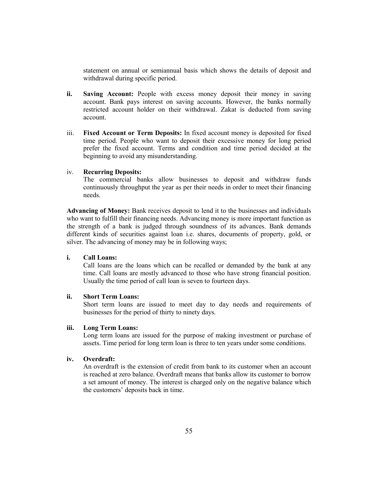statement on annual or semiannual basis which shows the details of deposit and withdrawal during specific period.

- **ii. Saving Account:** People with excess money deposit their money in saving account. Bank pays interest on saving accounts. However, the banks normally restricted account holder on their withdrawal. Zakat is deducted from saving account.
- iii. **Fixed Account or Term Deposits:** In fixed account money is deposited for fixed time period. People who want to deposit their excessive money for long period prefer the fixed account. Terms and condition and time period decided at the beginning to avoid any misunderstanding.

### iv. **Recurring Deposits:**

The commercial banks allow businesses to deposit and withdraw funds continuously throughput the year as per their needs in order to meet their financing needs.

**Advancing of Money:** Bank receives deposit to lend it to the businesses and individuals who want to fulfill their financing needs. Advancing money is more important function as the strength of a bank is judged through soundness of its advances. Bank demands different kinds of securities against loan i.e. shares, documents of property, gold, or silver. The advancing of money may be in following ways;

## **i. Call Loans:**

Call loans are the loans which can be recalled or demanded by the bank at any time. Call loans are mostly advanced to those who have strong financial position. Usually the time period of call loan is seven to fourteen days.

## **ii. Short Term Loans:**

Short term loans are issued to meet day to day needs and requirements of businesses for the period of thirty to ninety days.

#### **iii. Long Term Loans:**

Long term loans are issued for the purpose of making investment or purchase of assets. Time period for long term loan is three to ten years under some conditions.

## **iv. Overdraft:**

An overdraft is the extension of credit from bank to its customer when an account is reached at zero balance. Overdraft means that banks allow its customer to borrow a set amount of money. The interest is charged only on the negative balance which the customers' deposits back in time.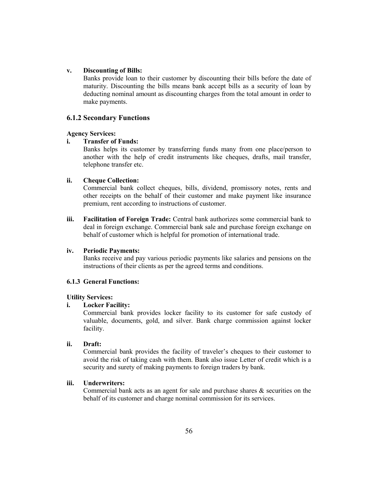## **v. Discounting of Bills:**

Banks provide loan to their customer by discounting their bills before the date of maturity. Discounting the bills means bank accept bills as a security of loan by deducting nominal amount as discounting charges from the total amount in order to make payments.

## **6.1.2 Secondary Functions**

#### **Agency Services:**

## **i. Transfer of Funds:**

Banks helps its customer by transferring funds many from one place/person to another with the help of credit instruments like cheques, drafts, mail transfer, telephone transfer etc.

## **ii. Cheque Collection:**

Commercial bank collect cheques, bills, dividend, promissory notes, rents and other receipts on the behalf of their customer and make payment like insurance premium, rent according to instructions of customer.

**iii. Facilitation of Foreign Trade:** Central bank authorizes some commercial bank to deal in foreign exchange. Commercial bank sale and purchase foreign exchange on behalf of customer which is helpful for promotion of international trade.

## **iv. Periodic Payments:**

Banks receive and pay various periodic payments like salaries and pensions on the instructions of their clients as per the agreed terms and conditions.

## **6.1.3 General Functions:**

#### **Utility Services:**

## **i. Locker Facility:**

Commercial bank provides locker facility to its customer for safe custody of valuable, documents, gold, and silver. Bank charge commission against locker facility.

#### **ii. Draft:**

Commercial bank provides the facility of traveler's cheques to their customer to avoid the risk of taking cash with them. Bank also issue Letter of credit which is a security and surety of making payments to foreign traders by bank.

## **iii. Underwriters:**

Commercial bank acts as an agent for sale and purchase shares  $\&$  securities on the behalf of its customer and charge nominal commission for its services.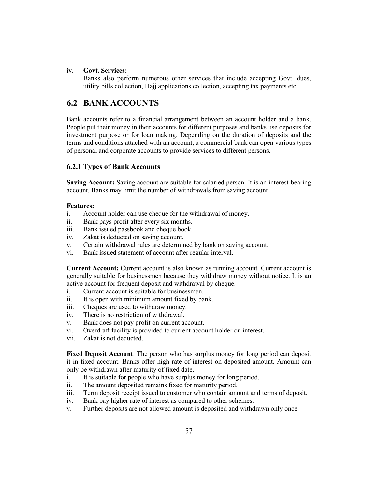## **iv. Govt. Services:**

Banks also perform numerous other services that include accepting Govt. dues, utility bills collection, Hajj applications collection, accepting tax payments etc.

## **6.2 BANK ACCOUNTS**

Bank accounts refer to a financial arrangement between an account holder and a bank. People put their money in their accounts for different purposes and banks use deposits for investment purpose or for loan making. Depending on the duration of deposits and the terms and conditions attached with an account, a commercial bank can open various types of personal and corporate accounts to provide services to different persons.

## **6.2.1 Types of Bank Accounts**

**Saving Account:** Saving account are suitable for salaried person. It is an interest-bearing account. Banks may limit the number of withdrawals from saving account.

## **Features:**

- i. Account holder can use cheque for the withdrawal of money.
- ii. Bank pays profit after every six months.
- iii. Bank issued passbook and cheque book.
- iv. Zakat is deducted on saving account.
- v. Certain withdrawal rules are determined by bank on saving account.
- vi. Bank issued statement of account after regular interval.

**Current Account:** Current account is also known as running account. Current account is generally suitable for businessmen because they withdraw money without notice. It is an active account for frequent deposit and withdrawal by cheque.

- i. Current account is suitable for businessmen.
- ii. It is open with minimum amount fixed by bank.
- iii. Cheques are used to withdraw money.
- iv. There is no restriction of withdrawal.
- v. Bank does not pay profit on current account.
- vi. Overdraft facility is provided to current account holder on interest.
- vii. Zakat is not deducted.

**Fixed Deposit Account**: The person who has surplus money for long period can deposit it in fixed account. Banks offer high rate of interest on deposited amount. Amount can only be withdrawn after maturity of fixed date.

- i. It is suitable for people who have surplus money for long period.
- ii. The amount deposited remains fixed for maturity period.
- iii. Term deposit receipt issued to customer who contain amount and terms of deposit.
- iv. Bank pay higher rate of interest as compared to other schemes.
- v. Further deposits are not allowed amount is deposited and withdrawn only once.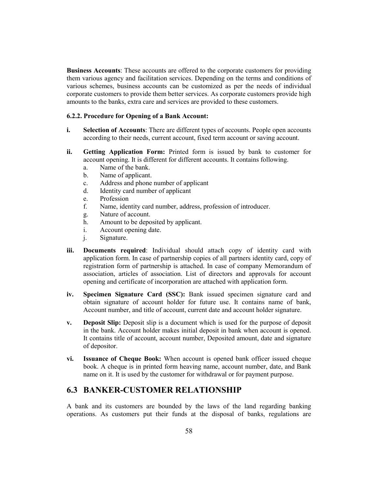**Business Accounts**: These accounts are offered to the corporate customers for providing them various agency and facilitation services. Depending on the terms and conditions of various schemes, business accounts can be customized as per the needs of individual corporate customers to provide them better services. As corporate customers provide high amounts to the banks, extra care and services are provided to these customers.

## **6.2.2. Procedure for Opening of a Bank Account:**

- **i. Selection of Accounts**: There are different types of accounts. People open accounts according to their needs, current account, fixed term account or saving account.
- **ii. Getting Application Form:** Printed form is issued by bank to customer for account opening. It is different for different accounts. It contains following.
	- a. Name of the bank.
	- b. Name of applicant.
	- c. Address and phone number of applicant
	- d. Identity card number of applicant
	- e. Profession
	- f. Name, identity card number, address, profession of introducer.
	- g. Nature of account.
	- h. Amount to be deposited by applicant.
	- i. Account opening date.
	- j. Signature.
- **iii. Documents required**: Individual should attach copy of identity card with application form. In case of partnership copies of all partners identity card, copy of registration form of partnership is attached. In case of company Memorandum of association, articles of association. List of directors and approvals for account opening and certificate of incorporation are attached with application form.
- **iv. Specimen Signature Card (SSC):** Bank issued specimen signature card and obtain signature of account holder for future use. It contains name of bank, Account number, and title of account, current date and account holder signature.
- **v. Deposit Slip:** Deposit slip is a document which is used for the purpose of deposit in the bank. Account holder makes initial deposit in bank when account is opened. It contains title of account, account number, Deposited amount, date and signature of depositor.
- **vi. Issuance of Cheque Book:** When account is opened bank officer issued cheque book. A cheque is in printed form heaving name, account number, date, and Bank name on it. It is used by the customer for withdrawal or for payment purpose.

## **6.3 BANKER-CUSTOMER RELATIONSHIP**

A bank and its customers are bounded by the laws of the land regarding banking operations. As customers put their funds at the disposal of banks, regulations are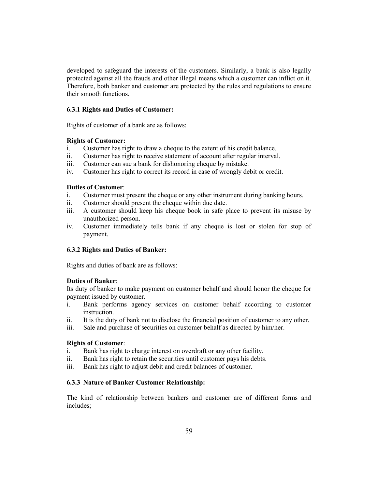developed to safeguard the interests of the customers. Similarly, a bank is also legally protected against all the frauds and other illegal means which a customer can inflict on it. Therefore, both banker and customer are protected by the rules and regulations to ensure their smooth functions.

## **6.3.1 Rights and Duties of Customer:**

Rights of customer of a bank are as follows:

### **Rights of Customer:**

- i. Customer has right to draw a cheque to the extent of his credit balance.
- ii. Customer has right to receive statement of account after regular interval.
- iii. Customer can sue a bank for dishonoring cheque by mistake.
- iv. Customer has right to correct its record in case of wrongly debit or credit.

### **Duties of Customer**:

- i. Customer must present the cheque or any other instrument during banking hours.
- ii. Customer should present the cheque within due date.
- iii. A customer should keep his cheque book in safe place to prevent its misuse by unauthorized person.
- iv. Customer immediately tells bank if any cheque is lost or stolen for stop of payment.

## **6.3.2 Rights and Duties of Banker:**

Rights and duties of bank are as follows:

## **Duties of Banker**:

Its duty of banker to make payment on customer behalf and should honor the cheque for payment issued by customer.

- i. Bank performs agency services on customer behalf according to customer instruction.
- ii. It is the duty of bank not to disclose the financial position of customer to any other.
- iii. Sale and purchase of securities on customer behalf as directed by him/her.

## **Rights of Customer**:

- i. Bank has right to charge interest on overdraft or any other facility.
- ii. Bank has right to retain the securities until customer pays his debts.
- iii. Bank has right to adjust debit and credit balances of customer.

#### **6.3.3 Nature of Banker Customer Relationship:**

The kind of relationship between bankers and customer are of different forms and includes;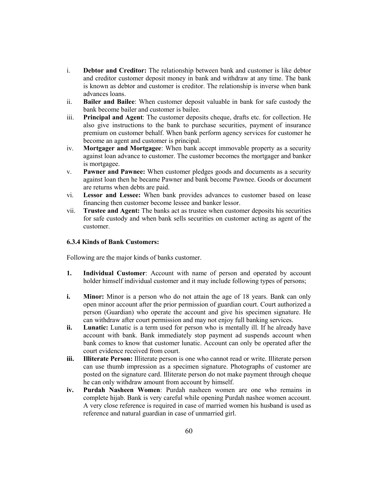- i. **Debtor and Creditor:** The relationship between bank and customer is like debtor and creditor customer deposit money in bank and withdraw at any time. The bank is known as debtor and customer is creditor. The relationship is inverse when bank advances loans.
- ii. **Bailer and Bailee**: When customer deposit valuable in bank for safe custody the bank become bailer and customer is bailee.
- iii. **Principal and Agent**: The customer deposits cheque, drafts etc. for collection. He also give instructions to the bank to purchase securities, payment of insurance premium on customer behalf. When bank perform agency services for customer he become an agent and customer is principal.
- iv. **Mortgager and Mortgagee**: When bank accept immovable property as a security against loan advance to customer. The customer becomes the mortgager and banker is mortgagee.
- v. **Pawner and Pawnee:** When customer pledges goods and documents as a security against loan then he became Pawner and bank become Pawnee. Goods or document are returns when debts are paid.
- vi. **Lessor and Lessee:** When bank provides advances to customer based on lease financing then customer become lessee and banker lessor.
- vii. **Trustee and Agent:** The banks act as trustee when customer deposits his securities for safe custody and when bank sells securities on customer acting as agent of the customer.

## **6.3.4 Kinds of Bank Customers:**

Following are the major kinds of banks customer.

- **1. Individual Customer**: Account with name of person and operated by account holder himself individual customer and it may include following types of persons;
- **i. Minor:** Minor is a person who do not attain the age of 18 years. Bank can only open minor account after the prior permission of guardian court. Court authorized a person (Guardian) who operate the account and give his specimen signature. He can withdraw after court permission and may not enjoy full banking services.
- **ii.** Lunatic: Lunatic is a term used for person who is mentally ill. If he already have account with bank. Bank immediately stop payment ad suspends account when bank comes to know that customer lunatic. Account can only be operated after the court evidence received from court.
- **iii. Illiterate Person:** Illiterate person is one who cannot read or write. Illiterate person can use thumb impression as a specimen signature. Photographs of customer are posted on the signature card. Illiterate person do not make payment through cheque he can only withdraw amount from account by himself.
- **iv. Purdah Nasheen Women**: Purdah nasheen women are one who remains in complete hijab. Bank is very careful while opening Purdah nashee women account. A very close reference is required in case of married women his husband is used as reference and natural guardian in case of unmarried girl.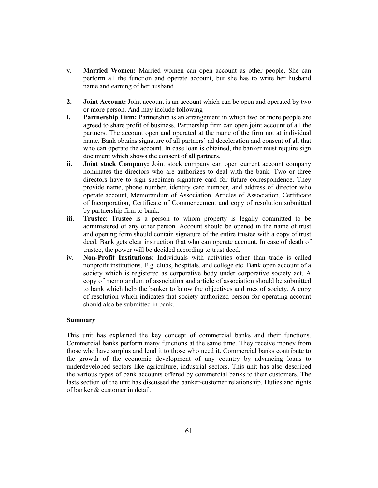- **v. Married Women:** Married women can open account as other people. She can perform all the function and operate account, but she has to write her husband name and earning of her husband.
- **2. Joint Account:** Joint account is an account which can be open and operated by two or more person. And may include following
- **i. Partnership Firm:** Partnership is an arrangement in which two or more people are agreed to share profit of business. Partnership firm can open joint account of all the partners. The account open and operated at the name of the firm not at individual name. Bank obtains signature of all partners' ad deceleration and consent of all that who can operate the account. In case loan is obtained, the banker must require sign document which shows the consent of all partners.
- **ii. Joint stock Company:** Joint stock company can open current account company nominates the directors who are authorizes to deal with the bank. Two or three directors have to sign specimen signature card for future correspondence. They provide name, phone number, identity card number, and address of director who operate account, Memorandum of Association, Articles of Association, Certificate of Incorporation, Certificate of Commencement and copy of resolution submitted by partnership firm to bank.
- **iii. Trustee**: Trustee is a person to whom property is legally committed to be administered of any other person. Account should be opened in the name of trust and opening form should contain signature of the entire trustee with a copy of trust deed. Bank gets clear instruction that who can operate account. In case of death of trustee, the power will be decided according to trust deed.
- **iv. Non-Profit Institutions**: Individuals with activities other than trade is called nonprofit institutions. E.g. clubs, hospitals, and college etc. Bank open account of a society which is registered as corporative body under corporative society act. A copy of memorandum of association and article of association should be submitted to bank which help the banker to know the objectives and rues of society. A copy of resolution which indicates that society authorized person for operating account should also be submitted in bank.

## **Summary**

This unit has explained the key concept of commercial banks and their functions. Commercial banks perform many functions at the same time. They receive money from those who have surplus and lend it to those who need it. Commercial banks contribute to the growth of the economic development of any country by advancing loans to underdeveloped sectors like agriculture, industrial sectors. This unit has also described the various types of bank accounts offered by commercial banks to their customers. The lasts section of the unit has discussed the banker-customer relationship, Duties and rights of banker & customer in detail.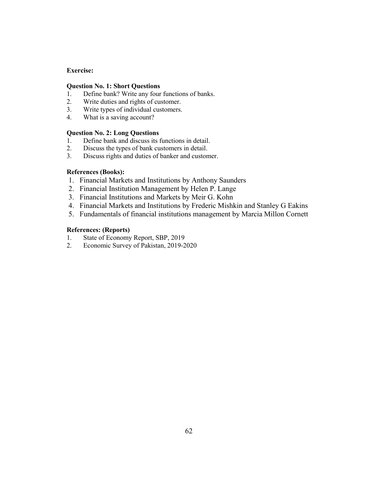## **Exercise:**

## **Question No. 1: Short Questions**

- 1. Define bank? Write any four functions of banks.<br>2. Write duties and rights of customer.
- Write duties and rights of customer.
- 3. Write types of individual customers.
- 4. What is a saving account?

## **Question No. 2: Long Questions**

- 1. Define bank and discuss its functions in detail.
- 2. Discuss the types of bank customers in detail.
- 3. Discuss rights and duties of banker and customer.

## **References (Books):**

- 1. Financial Markets and Institutions by Anthony Saunders
- 2. Financial Institution Management by Helen P. Lange
- 3. Financial Institutions and Markets by Meir G. Kohn
- 4. Financial Markets and Institutions by Frederic Mishkin and Stanley G Eakins
- 5. Fundamentals of financial institutions management by Marcia Millon Cornett

## **References: (Reports)**

- 1. State of Economy Report, SBP, 2019
- 2. Economic Survey of Pakistan, 2019-2020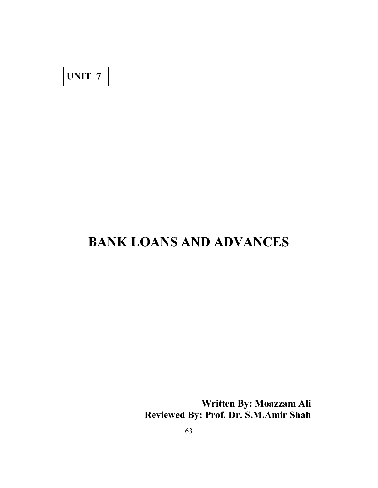**UNIT–7**

# **BANK LOANS AND ADVANCES**

**Written By: Moazzam Ali Reviewed By: Prof. Dr. S.M.Amir Shah**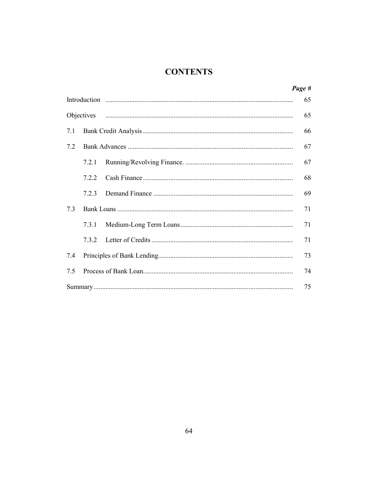## **CONTENTS**

|     |              |  | Page # |
|-----|--------------|--|--------|
|     | Introduction |  | 65     |
|     |              |  | 65     |
| 7.1 |              |  | 66     |
| 7.2 |              |  | 67     |
|     | 7.2.1        |  | 67     |
|     | 722          |  | 68     |
|     | 723          |  | 69     |
| 73  |              |  | 71     |
|     | 7.3.1        |  | 71     |
|     | 7.3.2        |  | 71     |
| 7.4 |              |  | 73     |
| 75  |              |  | 74     |
|     |              |  | 75     |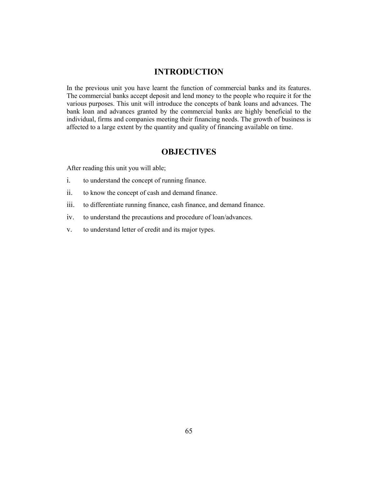## **INTRODUCTION**

In the previous unit you have learnt the function of commercial banks and its features. The commercial banks accept deposit and lend money to the people who require it for the various purposes. This unit will introduce the concepts of bank loans and advances. The bank loan and advances granted by the commercial banks are highly beneficial to the individual, firms and companies meeting their financing needs. The growth of business is affected to a large extent by the quantity and quality of financing available on time.

## **OBJECTIVES**

After reading this unit you will able;

- i. to understand the concept of running finance.
- ii. to know the concept of cash and demand finance.
- iii. to differentiate running finance, cash finance, and demand finance.
- iv. to understand the precautions and procedure of loan/advances.
- v. to understand letter of credit and its major types.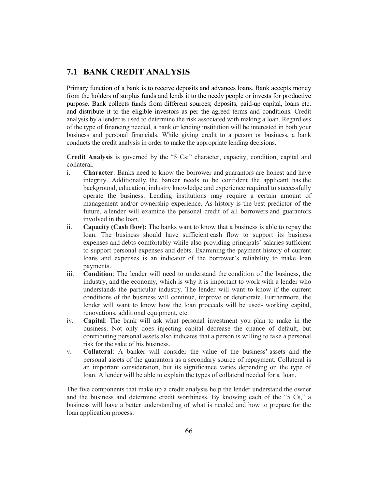## **7.1 BANK CREDIT ANALYSIS**

Primary function of a bank is to receive deposits and advances loans. Bank accepts money from the holders of surplus funds and lends it to the needy people or invests for productive purpose. Bank collects funds from different sources; deposits, paid-up capital, loans etc. and distribute it to the eligible investors as per the agreed terms and conditions. Credit analysis by a lender is used to determine the risk associated with making a loan. Regardless of the type of financing needed, a bank or lending institution will be interested in both your business and personal financials. While giving credit to a person or business, a bank conducts the credit analysis in order to make the appropriate lending decisions.

**Credit Analysis** is governed by the "5 Cs:" character, capacity, condition, capital and collateral.

- i. **Character**: Banks need to know the borrower and guarantors are honest and have integrity. Additionally, the banker needs to be confident the applicant has the background, education, industry knowledge and experience required to successfully operate the business. Lending institutions may require a certain amount of management and/or ownership experience. As history is the best predictor of the future, a lender will examine the personal credit of all borrowers and guarantors involved in the loan.
- ii. **Capacity (Cash flow):** The banks want to know that a business is able to repay the loan. The business should have sufficient cash flow to support its business expenses and debts comfortably while also providing principals' salaries sufficient to support personal expenses and debts. Examining the payment history of current loans and expenses is an indicator of the borrower's reliability to make loan payments.
- iii. **Condition**: The lender will need to understand the condition of the business, the industry, and the economy, which is why it is important to work with a lender who understands the particular industry. The lender will want to know if the current conditions of the business will continue, improve or deteriorate. Furthermore, the lender will want to know how the loan proceeds will be used- working capital, renovations, additional equipment, etc.
- iv. **Capital**: The bank will ask what personal investment you plan to make in the business. Not only does injecting capital decrease the chance of default, but contributing personal assets also indicates that a person is willing to take a personal risk for the sake of his business.
- v. **Collateral**: A banker will consider the value of the business' assets and the personal assets of the guarantors as a secondary source of repayment. Collateral is an important consideration, but its significance varies depending on the type of loan. A lender will be able to explain the types of collateral needed for a loan.

The five components that make up a credit analysis help the lender understand the owner and the business and determine credit worthiness. By knowing each of the "5 Cs," a business will have a better understanding of what is needed and how to prepare for the loan application process.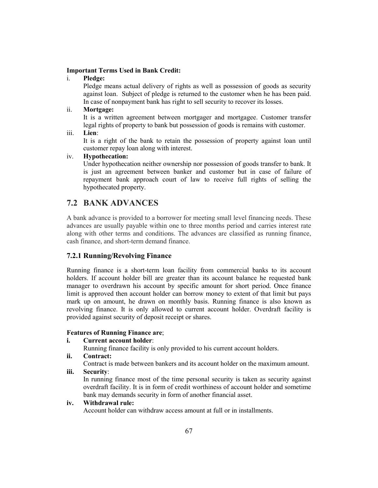## **Important Terms Used in Bank Credit:**

i. **Pledge:**

Pledge means actual delivery of rights as well as possession of goods as security against loan. Subject of pledge is returned to the customer when he has been paid. In case of nonpayment bank has right to sell security to recover its losses.

ii. **Mortgage:**

It is a written agreement between mortgager and mortgagee. Customer transfer legal rights of property to bank but possession of goods is remains with customer.

iii. **Lien**:

It is a right of the bank to retain the possession of property against loan until customer repay loan along with interest.

## iv. **Hypothecation:**

Under hypothecation neither ownership nor possession of goods transfer to bank. It is just an agreement between banker and customer but in case of failure of repayment bank approach court of law to receive full rights of selling the hypothecated property.

## **7.2 BANK ADVANCES**

A bank advance is provided to a borrower for meeting small level financing needs. These advances are usually payable within one to three months period and carries interest rate along with other terms and conditions. The advances are classified as running finance, cash finance, and short-term demand finance.

## **7.2.1 Running/Revolving Finance**

Running finance is a short-term loan facility from commercial banks to its account holders. If account holder bill are greater than its account balance he requested bank manager to overdrawn his account by specific amount for short period. Once finance limit is approved then account holder can borrow money to extent of that limit but pays mark up on amount, he drawn on monthly basis. Running finance is also known as revolving finance. It is only allowed to current account holder. Overdraft facility is provided against security of deposit receipt or shares.

#### **Features of Running Finance are**;

### **i. Current account holder**:

Running finance facility is only provided to his current account holders.

**ii. Contract:**

Contract is made between bankers and its account holder on the maximum amount.

**iii. Security**:

In running finance most of the time personal security is taken as security against overdraft facility. It is in form of credit worthiness of account holder and sometime bank may demands security in form of another financial asset.

## **iv. Withdrawal rule:**

Account holder can withdraw access amount at full or in installments.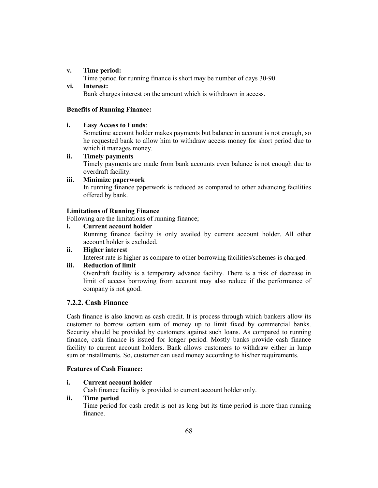## **v. Time period:**

Time period for running finance is short may be number of days 30-90.

## **vi. Interest:**

Bank charges interest on the amount which is withdrawn in access.

## **Benefits of Running Finance:**

## **i. Easy Access to Funds**:

Sometime account holder makes payments but balance in account is not enough, so he requested bank to allow him to withdraw access money for short period due to which it manages money.

## **ii. Timely payments**

Timely payments are made from bank accounts even balance is not enough due to overdraft facility.

## **iii. Minimize paperwork** In running finance paperwork is reduced as compared to other advancing facilities offered by bank.

## **Limitations of Running Finance**

Following are the limitations of running finance;

## **i. Current account holder**

Running finance facility is only availed by current account holder. All other account holder is excluded.

## **ii. Higher interest** Interest rate is higher as compare to other borrowing facilities/schemes is charged.

## **iii. Reduction of limit**

Overdraft facility is a temporary advance facility. There is a risk of decrease in limit of access borrowing from account may also reduce if the performance of company is not good.

## **7.2.2. Cash Finance**

Cash finance is also known as cash credit. It is process through which bankers allow its customer to borrow certain sum of money up to limit fixed by commercial banks. Security should be provided by customers against such loans. As compared to running finance, cash finance is issued for longer period. Mostly banks provide cash finance facility to current account holders. Bank allows customers to withdraw either in lump sum or installments. So, customer can used money according to his/her requirements.

## **Features of Cash Finance:**

## **i. Current account holder**

Cash finance facility is provided to current account holder only.

## **ii. Time period**

Time period for cash credit is not as long but its time period is more than running finance.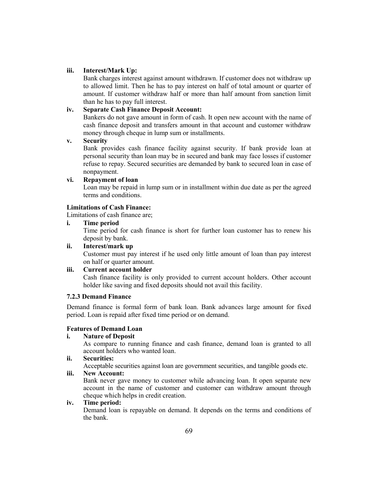### **iii. Interest/Mark Up:**

Bank charges interest against amount withdrawn. If customer does not withdraw up to allowed limit. Then he has to pay interest on half of total amount or quarter of amount. If customer withdraw half or more than half amount from sanction limit than he has to pay full interest.

# **iv. Separate Cash Finance Deposit Account:**

Bankers do not gave amount in form of cash. It open new account with the name of cash finance deposit and transfers amount in that account and customer withdraw money through cheque in lump sum or installments.

## **v. Security**

Bank provides cash finance facility against security. If bank provide loan at personal security than loan may be in secured and bank may face losses if customer refuse to repay. Secured securities are demanded by bank to secured loan in case of nonpayment.

## **vi. Repayment of loan**

Loan may be repaid in lump sum or in installment within due date as per the agreed terms and conditions.

# **Limitations of Cash Finance:**

Limitations of cash finance are;

**i. Time period**

Time period for cash finance is short for further loan customer has to renew his deposit by bank.

#### **ii. Interest/mark up**

Customer must pay interest if he used only little amount of loan than pay interest on half or quarter amount.

# **iii. Current account holder**

Cash finance facility is only provided to current account holders. Other account holder like saving and fixed deposits should not avail this facility.

### **7.2.3 Demand Finance**

Demand finance is formal form of bank loan. Bank advances large amount for fixed period. Loan is repaid after fixed time period or on demand.

# **Features of Demand Loan**

#### **i. Nature of Deposit**

As compare to running finance and cash finance, demand loan is granted to all account holders who wanted loan.

#### **ii. Securities:**

Acceptable securities against loan are government securities, and tangible goods etc.

#### **iii. New Account:**

Bank never gave money to customer while advancing loan. It open separate new account in the name of customer and customer can withdraw amount through cheque which helps in credit creation.

# **iv. Time period:**

Demand loan is repayable on demand. It depends on the terms and conditions of the bank.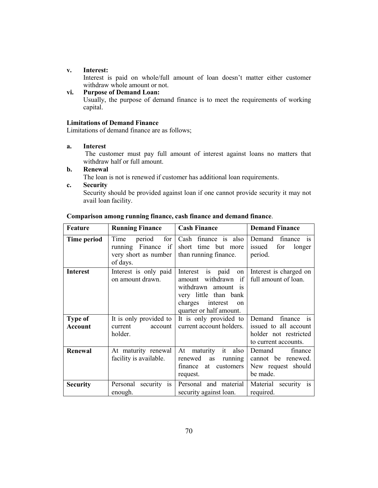#### **v. Interest:**

Interest is paid on whole/full amount of loan doesn't matter either customer withdraw whole amount or not.

# **vi. Purpose of Demand Loan:**

Usually, the purpose of demand finance is to meet the requirements of working capital.

### **Limitations of Demand Finance**

Limitations of demand finance are as follows;

#### **a. Interest**

The customer must pay full amount of interest against loans no matters that withdraw half or full amount.

## **b. Renewal**

The loan is not is renewed if customer has additional loan requirements.

#### **c. Security**

Security should be provided against loan if one cannot provide security it may not avail loan facility.

| Feature                          | <b>Running Finance</b>                                                          | <b>Cash Finance</b>                                                                                                                                                       | <b>Demand Finance</b>                                                                          |
|----------------------------------|---------------------------------------------------------------------------------|---------------------------------------------------------------------------------------------------------------------------------------------------------------------------|------------------------------------------------------------------------------------------------|
| Time period                      | for<br>Time<br>period<br>running Finance if<br>very short as number<br>of days. | Cash finance is also<br>short time but more<br>than running finance.                                                                                                      | finance is<br>Demand<br>issued<br>for<br>longer<br>period.                                     |
| <b>Interest</b>                  | Interest is only paid<br>on amount drawn.                                       | is paid<br>Interest<br>on  <br>withdrawn<br>if<br>amount<br>withdrawn amount is<br>very little than bank<br>charges<br>interest<br>$_{\rm on}$<br>quarter or half amount. | Interest is charged on<br>full amount of loan.                                                 |
| <b>Type of</b><br><b>Account</b> | It is only provided to<br>current<br>account<br>holder.                         | It is only provided to<br>current account holders.                                                                                                                        | finance is<br>Demand<br>issued to all account<br>holder not restricted<br>to current accounts. |
| Renewal                          | At maturity renewal<br>facility is available.                                   | At maturity it<br>also<br>renewed<br>as<br>running<br>finance<br>customers<br>at<br>request.                                                                              | Demand<br>finance<br>cannot be renewed.<br>New request should<br>be made.                      |
| <b>Security</b>                  | Personal<br>security is<br>enough.                                              | Personal and material<br>security against loan.                                                                                                                           | Material security is<br>required.                                                              |

#### **Comparison among running finance, cash finance and demand finance**.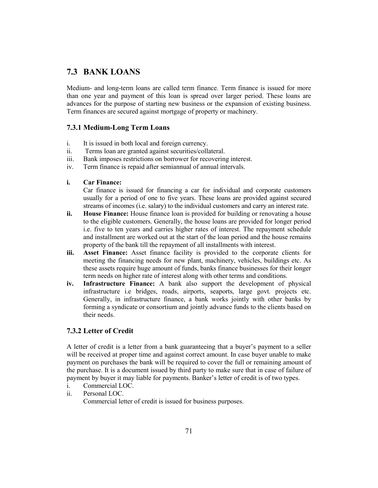# **7.3 BANK LOANS**

Medium- and long-term loans are called term finance. Term finance is issued for more than one year and payment of this loan is spread over larger period. These loans are advances for the purpose of starting new business or the expansion of existing business. Term finances are secured against mortgage of property or machinery.

# **7.3.1 Medium-Long Term Loans**

- i. It is issued in both local and foreign currency.
- ii. Terms loan are granted against securities/collateral.
- iii. Bank imposes restrictions on borrower for recovering interest.
- iv. Term finance is repaid after semiannual of annual intervals.
- **i. Car Finance:**

Car finance is issued for financing a car for individual and corporate customers usually for a period of one to five years. These loans are provided against secured streams of incomes (i.e. salary) to the individual customers and carry an interest rate.

- **ii. House Finance:** House finance loan is provided for building or renovating a house to the eligible customers. Generally, the house loans are provided for longer period i.e. five to ten years and carries higher rates of interest. The repayment schedule and installment are worked out at the start of the loan period and the house remains property of the bank till the repayment of all installments with interest.
- **iii. Asset Finance:** Asset finance facility is provided to the corporate clients for meeting the financing needs for new plant, machinery, vehicles, buildings etc. As these assets require huge amount of funds, banks finance businesses for their longer term needs on higher rate of interest along with other terms and conditions.
- **iv. Infrastructure Finance:** A bank also support the development of physical infrastructure i.e bridges, roads, airports, seaports, large govt. projects etc. Generally, in infrastructure finance, a bank works jointly with other banks by forming a syndicate or consortium and jointly advance funds to the clients based on their needs.

# **7.3.2 Letter of Credit**

A letter of credit is a letter from a bank guaranteeing that a buyer's payment to a seller will be received at proper time and against correct amount. In case buyer unable to make payment on purchases the bank will be required to cover the full or remaining amount of the purchase. It is a document issued by third party to make sure that in case of failure of payment by buyer it may liable for payments. Banker's letter of credit is of two types.

- 
- i. Commercial LOC.<br>ii. Personal LOC. Personal LOC. Commercial letter of credit is issued for business purposes.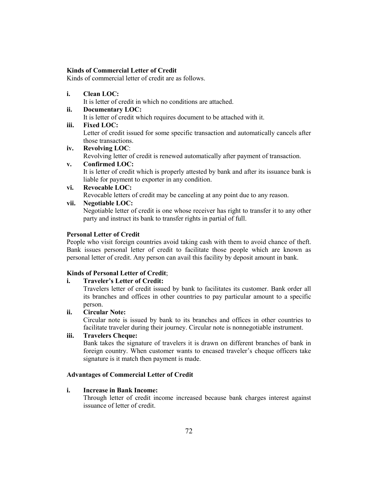### **Kinds of Commercial Letter of Credit**

Kinds of commercial letter of credit are as follows.

**i. Clean LOC:**

It is letter of credit in which no conditions are attached.

**ii. Documentary LOC:** It is letter of credit which requires document to be attached with it.

## **iii. Fixed LOC:**

Letter of credit issued for some specific transaction and automatically cancels after those transactions.

**iv. Revolving LOC**:

Revolving letter of credit is renewed automatically after payment of transaction.

## **v. Confirmed LOC:**

It is letter of credit which is properly attested by bank and after its issuance bank is liable for payment to exporter in any condition.

# **vi. Revocable LOC:**

Revocable letters of credit may be canceling at any point due to any reason.

**vii. Negotiable LOC:**

Negotiable letter of credit is one whose receiver has right to transfer it to any other party and instruct its bank to transfer rights in partial of full.

#### **Personal Letter of Credit**

People who visit foreign countries avoid taking cash with them to avoid chance of theft. Bank issues personal letter of credit to facilitate those people which are known as personal letter of credit. Any person can avail this facility by deposit amount in bank.

# **Kinds of Personal Letter of Credit**;

# **i. Traveler's Letter of Credit:**

Travelers letter of credit issued by bank to facilitates its customer. Bank order all its branches and offices in other countries to pay particular amount to a specific person.

#### **ii. Circular Note:**

Circular note is issued by bank to its branches and offices in other countries to facilitate traveler during their journey. Circular note is nonnegotiable instrument.

# **iii. Travelers Cheque:**

Bank takes the signature of travelers it is drawn on different branches of bank in foreign country. When customer wants to encased traveler's cheque officers take signature is it match then payment is made.

#### **Advantages of Commercial Letter of Credit**

## **i. Increase in Bank Income:**

Through letter of credit income increased because bank charges interest against issuance of letter of credit.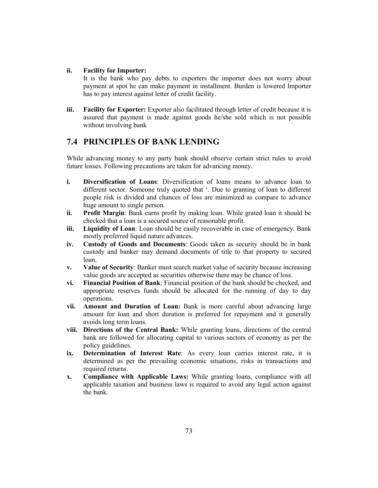## **ii. Facility for Importer:**

It is the bank who pay debts to exporters the importer does not worry about payment at spot he can make payment in installment. Burden is lowered Importer has to pay interest against letter of credit facility.

**iii. Facility for Exporter:** Exporter also facilitated through letter of credit because it is assured that payment is made against goods he/she sold which is not possible without involving bank

# **7.4 PRINCIPLES OF BANK LENDING**

While advancing money to any party bank should observe certain strict rules to avoid future losses. Following precautions are taken for advancing money.

- **i. Diversification of Loans**: Diversification of loans means to advance loan to different sector. Someone truly quoted that '. Due to granting of loan to different people risk is divided and chances of loss are minimized as compare to advance huge amount to single person.
- **ii. Profit Margin**: Bank earns profit by making loan. While grated loan it should be checked that a loan is a secured source of reasonable profit.
- **iii. Liquidity of Loan**: Loan should be easily recoverable in case of emergency. Bank mostly preferred liquid nature advances.
- **iv. Custody of Goods and Documents**: Goods taken as security should be in bank custody and banker may demand documents of title to that property to secured loan.
- **v. Value of Security**: Banker must search market value of security because increasing value goods are accepted as securities otherwise there may be chance of loss.
- **vi. Financial Position of Bank**: Financial position of the bank should be checked, and appropriate reserves funds should be allocated for the running of day to day operations.
- **vii. Amount and Duration of Loan:** Bank is more careful about advancing large amount for loan and short duration is preferred for repayment and it generally avoids long term loans.
- **viii. Directions of the Central Bank:** While granting loans, directions of the central bank are followed for allocating capital to various sectors of economy as per the policy guidelines.
- **ix. Determination of Interest Rate**: As every loan carries interest rate, it is determined as per the prevailing economic situations, risks in transactions and required returns.
- **x. Compliance with Applicable Laws:** While granting loans, compliance with all applicable taxation and business laws is required to avoid any legal action against the bank.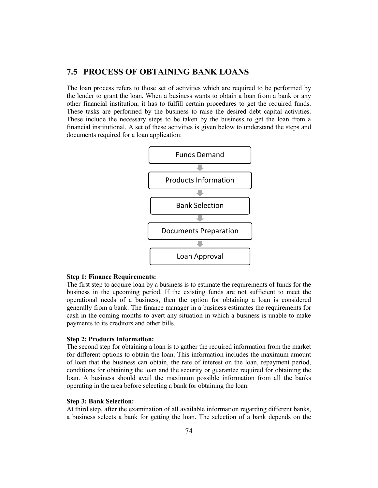# **7.5 PROCESS OF OBTAINING BANK LOANS**

The loan process refers to those set of activities which are required to be performed by the lender to grant the loan. When a business wants to obtain a loan from a bank or any other financial institution, it has to fulfill certain procedures to get the required funds. These tasks are performed by the business to raise the desired debt capital activities. These include the necessary steps to be taken by the business to get the loan from a financial institutional. A set of these activities is given below to understand the steps and documents required for a loan application:



#### **Step 1: Finance Requirements:**

The first step to acquire loan by a business is to estimate the requirements of funds for the business in the upcoming period. If the existing funds are not sufficient to meet the operational needs of a business, then the option for obtaining a loan is considered generally from a bank. The finance manager in a business estimates the requirements for cash in the coming months to avert any situation in which a business is unable to make payments to its creditors and other bills.

#### **Step 2: Products Information:**

The second step for obtaining a loan is to gather the required information from the market for different options to obtain the loan. This information includes the maximum amount of loan that the business can obtain, the rate of interest on the loan, repayment period, conditions for obtaining the loan and the security or guarantee required for obtaining the loan. A business should avail the maximum possible information from all the banks operating in the area before selecting a bank for obtaining the loan.

#### **Step 3: Bank Selection:**

At third step, after the examination of all available information regarding different banks, a business selects a bank for getting the loan. The selection of a bank depends on the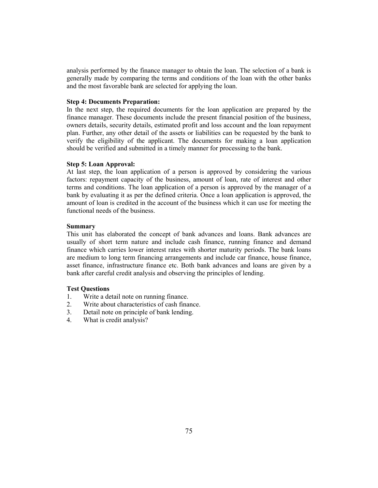analysis performed by the finance manager to obtain the loan. The selection of a bank is generally made by comparing the terms and conditions of the loan with the other banks and the most favorable bank are selected for applying the loan.

# **Step 4: Documents Preparation:**

In the next step, the required documents for the loan application are prepared by the finance manager. These documents include the present financial position of the business, owners details, security details, estimated profit and loss account and the loan repayment plan. Further, any other detail of the assets or liabilities can be requested by the bank to verify the eligibility of the applicant. The documents for making a loan application should be verified and submitted in a timely manner for processing to the bank.

#### **Step 5: Loan Approval:**

At last step, the loan application of a person is approved by considering the various factors: repayment capacity of the business, amount of loan, rate of interest and other terms and conditions. The loan application of a person is approved by the manager of a bank by evaluating it as per the defined criteria. Once a loan application is approved, the amount of loan is credited in the account of the business which it can use for meeting the functional needs of the business.

#### **Summary**

This unit has elaborated the concept of bank advances and loans. Bank advances are usually of short term nature and include cash finance, running finance and demand finance which carries lower interest rates with shorter maturity periods. The bank loans are medium to long term financing arrangements and include car finance, house finance, asset finance, infrastructure finance etc. Both bank advances and loans are given by a bank after careful credit analysis and observing the principles of lending.

#### **Test Questions**

- 1. Write a detail note on running finance.
- 2. Write about characteristics of cash finance.
- 3. Detail note on principle of bank lending.
- 4. What is credit analysis?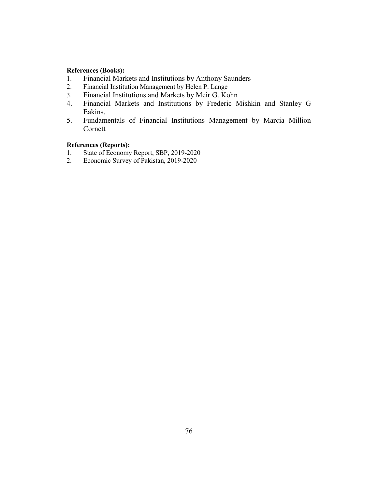## **References (Books):**

- 1. Financial Markets and Institutions by Anthony Saunders<br>2. Financial Institution Management by Helen P. Lange
- Financial Institution Management by Helen P. Lange
- 3. Financial Institutions and Markets by Meir G. Kohn
- 4. Financial Markets and Institutions by Frederic Mishkin and Stanley G Eakins.
- 5. Fundamentals of Financial Institutions Management by Marcia Million Cornett

# **References (Reports):**

- 1. State of Economy Report, SBP, 2019-2020<br>2. Economic Survey of Pakistan, 2019-2020
- 2. Economic Survey of Pakistan, 2019-2020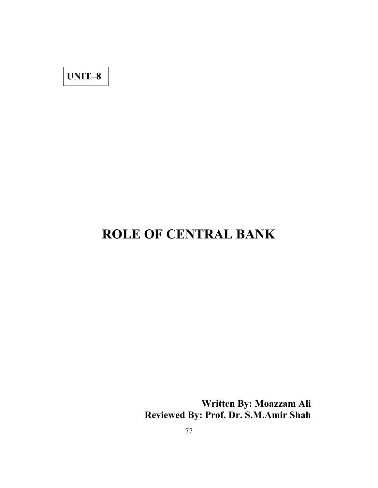**UNIT–8**

# **ROLE OF CENTRAL BANK**

**Written By: Moazzam Ali Reviewed By: Prof. Dr. S.M.Amir Shah**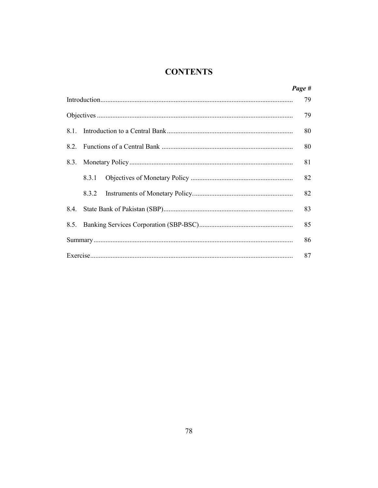# **CONTENTS**

|      |       | Page # |
|------|-------|--------|
|      |       | 79     |
|      |       | 79     |
| 81   |       | 80     |
| 82   |       | 80     |
| 8.3. |       | 81     |
|      | 8.3.1 | 82     |
|      | 8.3.2 | 82     |
| 8.4. |       | 83     |
| 8.5. |       | 85     |
|      |       | 86     |
|      |       | 87     |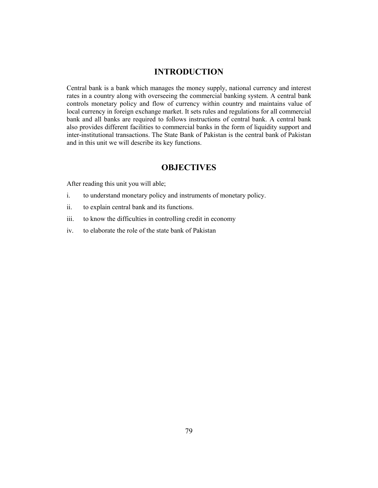# **INTRODUCTION**

Central bank is a bank which manages the money supply, national currency and interest rates in a country along with overseeing the commercial banking system. A central bank controls monetary policy and flow of currency within country and maintains value of local currency in foreign exchange market. It sets rules and regulations for all commercial bank and all banks are required to follows instructions of central bank. A central bank also provides different facilities to commercial banks in the form of liquidity support and inter-institutional transactions. The State Bank of Pakistan is the central bank of Pakistan and in this unit we will describe its key functions.

# **OBJECTIVES**

After reading this unit you will able;

- i. to understand monetary policy and instruments of monetary policy.
- ii. to explain central bank and its functions.
- iii. to know the difficulties in controlling credit in economy
- iv. to elaborate the role of the state bank of Pakistan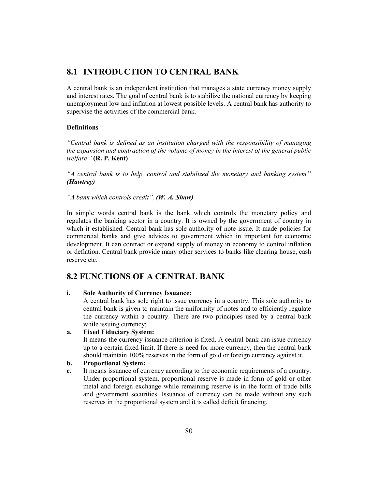# **8.1 INTRODUCTION TO CENTRAL BANK**

A central bank is an independent institution that manages a state currency money supply and interest rates. The goal of central bank is to stabilize the national currency by keeping unemployment low and inflation at lowest possible levels. A central bank has authority to supervise the activities of the commercial bank.

## **Definitions**

*"Central bank is defined as an institution charged with the responsibility of managing the expansion and contraction of the volume of money in the interest of the general public welfare''* **(R. P. Kent)**

*"A central bank is to help, control and stabilized the monetary and banking system'' (Hawtrey)*

*"A bank which controls credit". (W. A. Shaw)*

In simple words central bank is the bank which controls the monetary policy and regulates the banking sector in a country. It is owned by the government of country in which it established. Central bank has sole authority of note issue. It made policies for commercial banks and give advices to government which in important for economic development. It can contract or expand supply of money in economy to control inflation or deflation. Central bank provide many other services to banks like clearing house, cash reserve etc.

# **8.2 FUNCTIONS OF A CENTRAL BANK**

**i. Sole Authority of Currency Issuance:**

A central bank has sole right to issue currency in a country. This sole authority to central bank is given to maintain the uniformity of notes and to efficiently regulate the currency within a country. There are two principles used by a central bank while issuing currency;

# **a. Fixed Fiduciary System:**

It means the currency issuance criterion is fixed. A central bank can issue currency up to a certain fixed limit. If there is need for more currency, then the central bank should maintain 100% reserves in the form of gold or foreign currency against it.

# **b. Proportional System:**

**c.** It means issuance of currency according to the economic requirements of a country. Under proportional system, proportional reserve is made in form of gold or other metal and foreign exchange while remaining reserve is in the form of trade bills and government securities. Issuance of currency can be made without any such reserves in the proportional system and it is called deficit financing.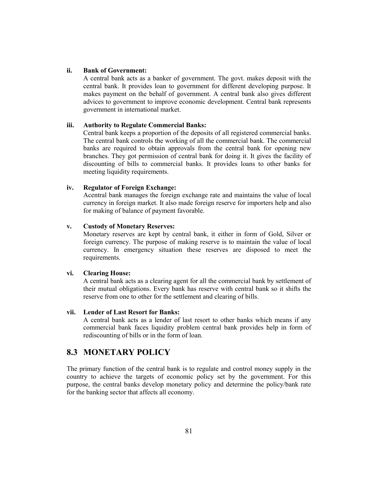## **ii. Bank of Government:**

A central bank acts as a banker of government. The govt. makes deposit with the central bank. It provides loan to government for different developing purpose. It makes payment on the behalf of government. A central bank also gives different advices to government to improve economic development. Central bank represents government in international market.

#### **iii. Authority to Regulate Commercial Banks:**

Central bank keeps a proportion of the deposits of all registered commercial banks. The central bank controls the working of all the commercial bank. The commercial banks are required to obtain approvals from the central bank for opening new branches. They got permission of central bank for doing it. It gives the facility of discounting of bills to commercial banks. It provides loans to other banks for meeting liquidity requirements.

#### **iv. Regulator of Foreign Exchange:**

Acentral bank manages the foreign exchange rate and maintains the value of local currency in foreign market. It also made foreign reserve for importers help and also for making of balance of payment favorable.

#### **v. Custody of Monetary Reserves:**

Monetary reserves are kept by central bank, it either in form of Gold, Silver or foreign currency. The purpose of making reserve is to maintain the value of local currency. In emergency situation these reserves are disposed to meet the requirements.

#### **vi. Clearing House:**

A central bank acts as a clearing agent for all the commercial bank by settlement of their mutual obligations. Every bank has reserve with central bank so it shifts the reserve from one to other for the settlement and clearing of bills.

#### **vii. Lender of Last Resort for Banks:**

A central bank acts as a lender of last resort to other banks which means if any commercial bank faces liquidity problem central bank provides help in form of rediscounting of bills or in the form of loan.

# **8.3 MONETARY POLICY**

The primary function of the central bank is to regulate and control money supply in the country to achieve the targets of economic policy set by the government. For this purpose, the central banks develop monetary policy and determine the policy/bank rate for the banking sector that affects all economy.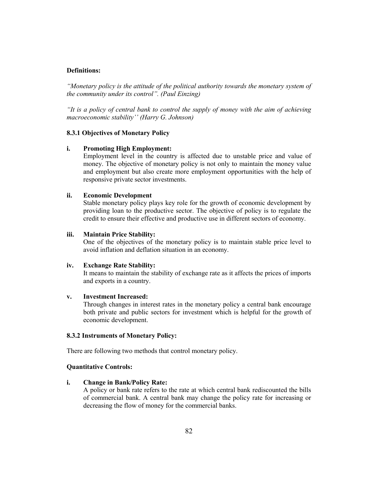### **Definitions:**

*"Monetary policy is the attitude of the political authority towards the monetary system of the community under its control". (Paul Einzing)*

*"It is a policy of central bank to control the supply of money with the aim of achieving macroeconomic stability'' (Harry G. Johnson)*

## **8.3.1 Objectives of Monetary Policy**

#### **i. Promoting High Employment:**

Employment level in the country is affected due to unstable price and value of money. The objective of monetary policy is not only to maintain the money value and employment but also create more employment opportunities with the help of responsive private sector investments.

#### **ii. Economic Development**

Stable monetary policy plays key role for the growth of economic development by providing loan to the productive sector. The objective of policy is to regulate the credit to ensure their effective and productive use in different sectors of economy.

#### **iii. Maintain Price Stability:**

One of the objectives of the monetary policy is to maintain stable price level to avoid inflation and deflation situation in an economy.

#### **iv. Exchange Rate Stability:**

It means to maintain the stability of exchange rate as it affects the prices of imports and exports in a country.

#### **v. Investment Increased:**

Through changes in interest rates in the monetary policy a central bank encourage both private and public sectors for investment which is helpful for the growth of economic development.

### **8.3.2 Instruments of Monetary Policy:**

There are following two methods that control monetary policy.

#### **Quantitative Controls:**

#### **i. Change in Bank/Policy Rate:**

A policy or bank rate refers to the rate at which central bank rediscounted the bills of commercial bank. A central bank may change the policy rate for increasing or decreasing the flow of money for the commercial banks.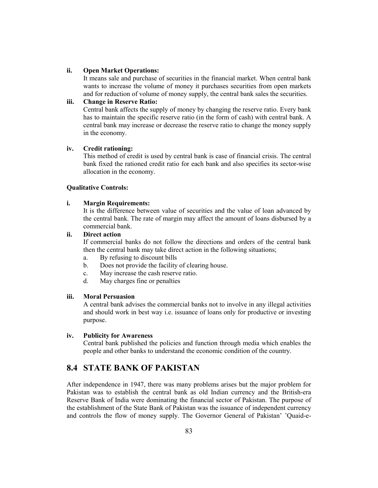## **ii. Open Market Operations:**

It means sale and purchase of securities in the financial market. When central bank wants to increase the volume of money it purchases securities from open markets and for reduction of volume of money supply, the central bank sales the securities.

# **iii. Change in Reserve Ratio:**

Central bank affects the supply of money by changing the reserve ratio. Every bank has to maintain the specific reserve ratio (in the form of cash) with central bank. A central bank may increase or decrease the reserve ratio to change the money supply in the economy.

#### **iv. Credit rationing:**

This method of credit is used by central bank is case of financial crisis. The central bank fixed the rationed credit ratio for each bank and also specifies its sector-wise allocation in the economy.

#### **Qualitative Controls:**

## **i. Margin Requirements:**

It is the difference between value of securities and the value of loan advanced by the central bank. The rate of margin may affect the amount of loans disbursed by a commercial bank.

## **ii. Direct action**

If commercial banks do not follow the directions and orders of the central bank then the central bank may take direct action in the following situations;

- a. By refusing to discount bills
- b. Does not provide the facility of clearing house.
- c. May increase the cash reserve ratio.
- d. May charges fine or penalties

#### **iii. Moral Persuasion**

A central bank advises the commercial banks not to involve in any illegal activities and should work in best way i.e. issuance of loans only for productive or investing purpose.

#### **iv. Publicity for Awareness**

Central bank published the policies and function through media which enables the people and other banks to understand the economic condition of the country.

# **8.4 STATE BANK OF PAKISTAN**

After independence in 1947, there was many problems arises but the major problem for Pakistan was to establish the central bank as old Indian currency and the British-era Reserve Bank of India were dominating the financial sector of Pakistan. The purpose of the establishment of the State Bank of Pakistan was the issuance of independent currency and controls the flow of money supply. The Governor General of Pakistan' 'Quaid-e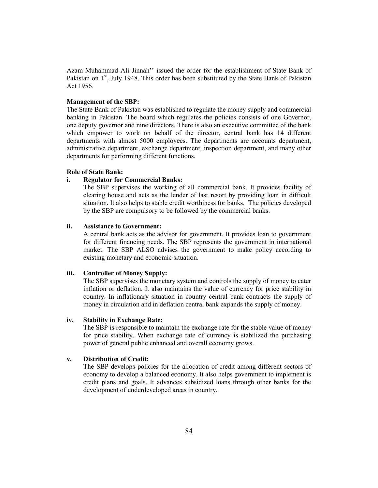Azam Muhammad Ali Jinnah'' issued the order for the establishment of State Bank of Pakistan on 1<sup>st</sup>, July 1948. This order has been substituted by the State Bank of Pakistan Act 1956.

#### **Management of the SBP:**

The State Bank of Pakistan was established to regulate the money supply and commercial banking in Pakistan. The board which regulates the policies consists of one Governor, one deputy governor and nine directors. There is also an executive committee of the bank which empower to work on behalf of the director, central bank has 14 different departments with almost 5000 employees. The departments are accounts department, administrative department, exchange department, inspection department, and many other departments for performing different functions.

#### **Role of State Bank:**

#### **i. Regulator for Commercial Banks:**

The SBP supervises the working of all commercial bank. It provides facility of clearing house and acts as the lender of last resort by providing loan in difficult situation. It also helps to stable credit worthiness for banks. The policies developed by the SBP are compulsory to be followed by the commercial banks.

#### **ii. Assistance to Government:**

A central bank acts as the advisor for government. It provides loan to government for different financing needs. The SBP represents the government in international market. The SBP ALSO advises the government to make policy according to existing monetary and economic situation.

#### **iii. Controller of Money Supply:**

The SBP supervises the monetary system and controls the supply of money to cater inflation or deflation. It also maintains the value of currency for price stability in country. In inflationary situation in country central bank contracts the supply of money in circulation and in deflation central bank expands the supply of money.

#### **iv. Stability in Exchange Rate:**

The SBP is responsible to maintain the exchange rate for the stable value of money for price stability. When exchange rate of currency is stabilized the purchasing power of general public enhanced and overall economy grows.

## **v. Distribution of Credit:**

The SBP develops policies for the allocation of credit among different sectors of economy to develop a balanced economy. It also helps government to implement is credit plans and goals. It advances subsidized loans through other banks for the development of underdeveloped areas in country.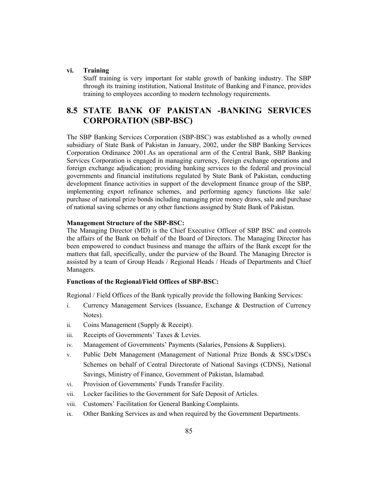#### **vi. Training**

Staff training is very important for stable growth of banking industry. The SBP through its training institution, National Institute of Banking and Finance, provides training to employees according to modern technology requirements.

# **8.5 STATE BANK OF PAKISTAN -BANKING SERVICES CORPORATION (SBP-BSC)**

The SBP Banking Services Corporation (SBP-BSC) was established as a wholly owned subsidiary of State Bank of Pakistan in January, 2002, under the SBP Banking Services Corporation Ordinance 2001.As an operational arm of the Central Bank, SBP Banking Services Corporation is engaged in managing currency, foreign exchange operations and foreign exchange adjudication; providing banking services to the federal and provincial governments and financial institutions regulated by State Bank of Pakistan, conducting development finance activities in support of the development finance group of the SBP, implementing export refinance schemes, and performing agency functions like sale/ purchase of national prize bonds including managing prize money draws, sale and purchase of national saving schemes or any other functions assigned by State Bank of Pakistan.

#### **Management Structure of the SBP-BSC:**

The Managing Director (MD) is the Chief Executive Officer of SBP BSC and controls the affairs of the Bank on behalf of the Board of Directors. The Managing Director has been empowered to conduct business and manage the affairs of the Bank except for the matters that fall, specifically, under the purview of the Board. The Managing Director is assisted by a team of Group Heads / Regional Heads / Heads of Departments and Chief Managers.

### **Functions of the Regional/Field Offices of SBP-BSC:**

Regional / Field Offices of the Bank typically provide the following Banking Services:

- i. Currency Management Services (Issuance, Exchange & Destruction of Currency Notes).
- ii. Coins Management (Supply & Receipt).
- iii. Receipts of Governments' Taxes & Levies.
- iv. Management of Governments' Payments (Salaries, Pensions & Suppliers).
- v. Public Debt Management (Management of National Prize Bonds & SSCs/DSCs Schemes on behalf of Central Directorate of National Savings (CDNS), National Savings, Ministry of Finance, Government of Pakistan, Islamabad.
- vi. Provision of Governments' Funds Transfer Facility.
- vii. Locker facilities to the Government for Safe Deposit of Articles.
- viii. Customers' Facilitation for General Banking Complaints.
- ix. Other Banking Services as and when required by the Government Departments.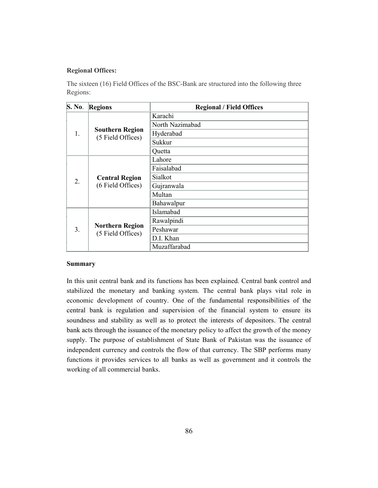## **Regional Offices:**

The sixteen (16) Field Offices of the BSC-Bank are structured into the following three Regions:

| $\mathbf{S}$ . No. | Regions                                     | <b>Regional / Field Offices</b> |
|--------------------|---------------------------------------------|---------------------------------|
|                    | <b>Southern Region</b><br>(5 Field Offices) | Karachi                         |
|                    |                                             | North Nazimabad                 |
| 1.                 |                                             | Hyderabad                       |
|                    |                                             | Sukkur                          |
|                    |                                             | Quetta                          |
| $\overline{2}$ .   | <b>Central Region</b><br>(6 Field Offices)  | Lahore                          |
|                    |                                             | Faisalabad                      |
|                    |                                             | Sialkot                         |
|                    |                                             | Gujranwala                      |
|                    |                                             | Multan                          |
|                    |                                             | Bahawalpur                      |
| 3.                 | <b>Northern Region</b><br>(5 Field Offices) | Islamabad                       |
|                    |                                             | Rawalpindi                      |
|                    |                                             | Peshawar                        |
|                    |                                             | D.I. Khan                       |
|                    |                                             | Muzaffarabad                    |

#### **Summary**

In this unit central bank and its functions has been explained. Central bank control and stabilized the monetary and banking system. The central bank plays vital role in economic development of country. One of the fundamental responsibilities of the central bank is regulation and supervision of the financial system to ensure its soundness and stability as well as to protect the interests of depositors. The central bank acts through the issuance of the monetary policy to affect the growth of the money supply. The purpose of establishment of State Bank of Pakistan was the issuance of independent currency and controls the flow of that currency. The SBP performs many functions it provides services to all banks as well as government and it controls the working of all commercial banks.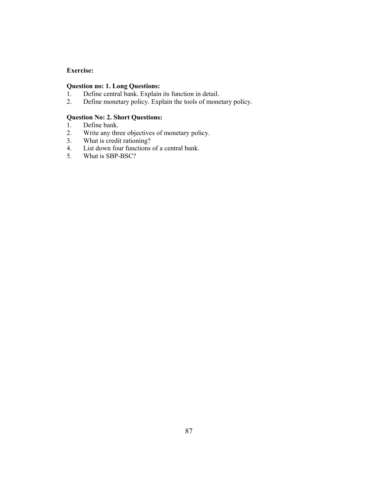## **Exercise:**

# **Question no: 1. Long Questions:**<br>1. Define central bank. Explain

- 1. Define central bank. Explain its function in detail.<br>2. Define monetary policy. Explain the tools of mone
- Define monetary policy. Explain the tools of monetary policy.

# **Question No: 2. Short Questions:**<br>1. Define bank.

- 1. Define bank.<br>2. Write any three
- 2. Write any three objectives of monetary policy.
- 3. What is credit rationing?
- 4. List down four functions of a central bank.<br>5. What is SBP-BSC?
- What is SBP-BSC?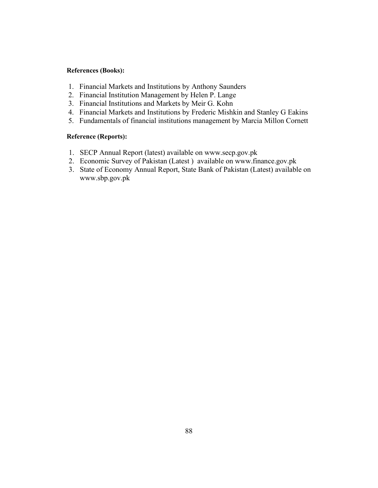# **References (Books):**

- 1. Financial Markets and Institutions by Anthony Saunders
- 2. Financial Institution Management by Helen P. Lange
- 3. Financial Institutions and Markets by Meir G. Kohn
- 4. Financial Markets and Institutions by Frederic Mishkin and Stanley G Eakins
- 5. Fundamentals of financial institutions management by Marcia Millon Cornett

# **Reference (Reports):**

- 1. SECP Annual Report (latest) available on www.secp.gov.pk
- 2. Economic Survey of Pakistan (Latest ) available on www.finance.gov.pk
- 3. State of Economy Annual Report, State Bank of Pakistan (Latest) available on www.sbp.gov.pk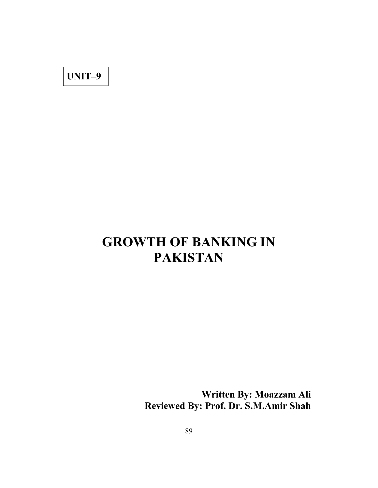**UNIT–9**

# **GROWTH OF BANKING IN PAKISTAN**

**Written By: Moazzam Ali Reviewed By: Prof. Dr. S.M.Amir Shah**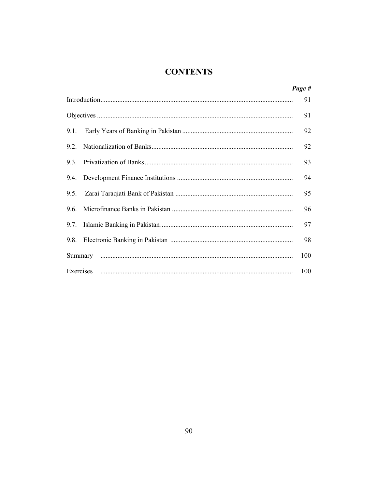# **CONTENTS**

|      | Page # |
|------|--------|
|      | 91     |
|      | 91     |
| 9.1. | 92     |
| 92   | 92     |
| 93   | 93     |
| 9.4. | 94     |
| 9.5. | 95     |
| 96   | 96     |
| 9.7. | 97     |
| 9.8. | 98     |
|      | 100    |
|      | 100    |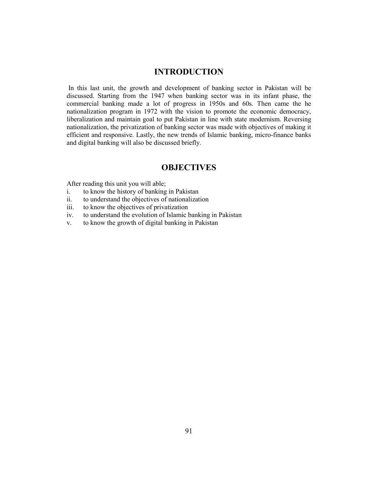# **INTRODUCTION**

In this last unit, the growth and development of banking sector in Pakistan will be discussed. Starting from the 1947 when banking sector was in its infant phase, the commercial banking made a lot of progress in 1950s and 60s. Then came the he nationalization program in 1972 with the vision to promote the economic democracy, liberalization and maintain goal to put Pakistan in line with state modernism. Reversing nationalization, the privatization of banking sector was made with objectives of making it efficient and responsive. Lastly, the new trends of Islamic banking, micro-finance banks and digital banking will also be discussed briefly.

# **OBJECTIVES**

After reading this unit you will able;

- i. to know the history of banking in Pakistan
- ii. to understand the objectives of nationalization
- iii. to know the objectives of privatization
- iv. to understand the evolution of Islamic banking in Pakistan
- v. to know the growth of digital banking in Pakistan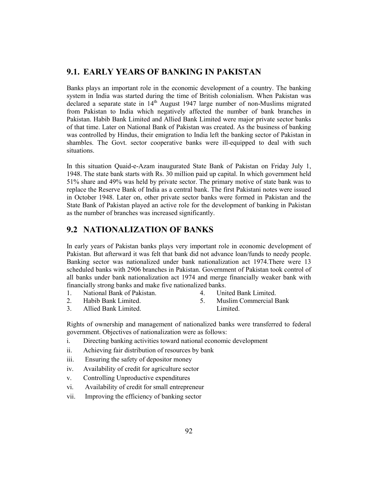# **9.1. EARLY YEARS OF BANKING IN PAKISTAN**

Banks plays an important role in the economic development of a country. The banking system in India was started during the time of British colonialism. When Pakistan was declared a separate state in 14<sup>th</sup> August 1947 large number of non-Muslims migrated from Pakistan to India which negatively affected the number of bank branches in Pakistan. Habib Bank Limited and Allied Bank Limited were major private sector banks of that time. Later on National Bank of Pakistan was created. As the business of banking was controlled by Hindus, their emigration to India left the banking sector of Pakistan in shambles. The Govt. sector cooperative banks were ill-equipped to deal with such situations.

In this situation Quaid-e-Azam inaugurated State Bank of Pakistan on Friday July 1, 1948. The state bank starts with Rs. 30 million paid up capital. In which government held 51% share and 49% was held by private sector. The primary motive of state bank was to replace the Reserve Bank of India as a central bank. The first Pakistani notes were issued in October 1948. Later on, other private sector banks were formed in Pakistan and the State Bank of Pakistan played an active role for the development of banking in Pakistan as the number of branches was increased significantly.

# **9.2 NATIONALIZATION OF BANKS**

In early years of Pakistan banks plays very important role in economic development of Pakistan. But afterward it was felt that bank did not advance loan/funds to needy people. Banking sector was nationalized under bank nationalization act 1974.There were 13 scheduled banks with 2906 branches in Pakistan. Government of Pakistan took control of all banks under bank nationalization act 1974 and merge financially weaker bank with financially strong banks and make five nationalized banks.

- 1. National Bank of Pakistan.
- 4. United Bank Limited.

2. Habib Bank Limited.<br>3. Allied Bank Limited.

5. Muslim Commercial Bank

3. Allied Bank Limited.

Limited.

Rights of ownership and management of nationalized banks were transferred to federal government. Objectives of nationalization were as follows:

- i. Directing banking activities toward national economic development
- ii. Achieving fair distribution of resources by bank
- iii. Ensuring the safety of depositor money
- iv. Availability of credit for agriculture sector
- v. Controlling Unproductive expenditures
- vi. Availability of credit for small entrepreneur
- vii. Improving the efficiency of banking sector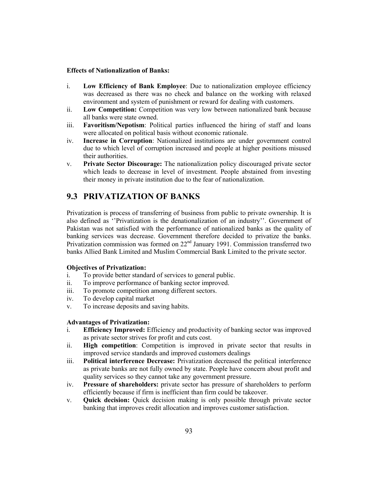#### **Effects of Nationalization of Banks:**

- i. **Low Efficiency of Bank Employee**: Due to nationalization employee efficiency was decreased as there was no check and balance on the working with relaxed environment and system of punishment or reward for dealing with customers.
- ii. **Low Competition:** Competition was very low between nationalized bank because all banks were state owned.
- iii. **Favoritism/Nepotism**: Political parties influenced the hiring of staff and loans were allocated on political basis without economic rationale.
- iv. **Increase in Corruption**: Nationalized institutions are under government control due to which level of corruption increased and people at higher positions misused their authorities.
- v. **Private Sector Discourage:** The nationalization policy discouraged private sector which leads to decrease in level of investment. People abstained from investing their money in private institution due to the fear of nationalization.

# **9.3 PRIVATIZATION OF BANKS**

Privatization is process of transferring of business from public to private ownership. It is also defined as ''Privatization is the denationalization of an industry''. Government of Pakistan was not satisfied with the performance of nationalized banks as the quality of banking services was decrease. Government therefore decided to privatize the banks. Privatization commission was formed on 22<sup>nd</sup> January 1991. Commission transferred two banks Allied Bank Limited and Muslim Commercial Bank Limited to the private sector.

### **Objectives of Privatization:**

- i. To provide better standard of services to general public.
- ii. To improve performance of banking sector improved.
- iii. To promote competition among different sectors.
- iv. To develop capital market
- v. To increase deposits and saving habits.

#### **Advantages of Privatization:**

- i. **Efficiency Improved:** Efficiency and productivity of banking sector was improved as private sector strives for profit and cuts cost.
- ii. **High competition**: Competition is improved in private sector that results in improved service standards and improved customers dealings
- iii. **Political interference Decrease:** Privatization decreased the political interference as private banks are not fully owned by state. People have concern about profit and quality services so they cannot take any government pressure.
- iv. **Pressure of shareholders:** private sector has pressure of shareholders to perform efficiently because if firm is inefficient than firm could be takeover.
- v. **Quick decision:** Quick decision making is only possible through private sector banking that improves credit allocation and improves customer satisfaction.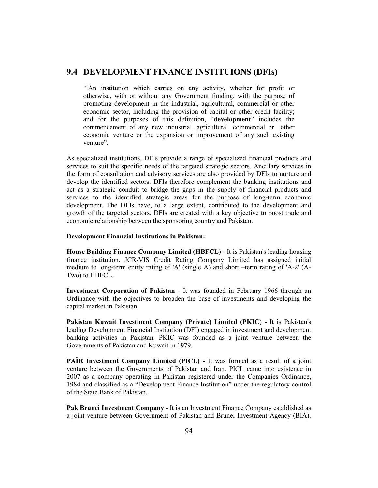# **9.4 DEVELOPMENT FINANCE INSTITUIONS (DFIs)**

"An institution which carries on any activity, whether for profit or otherwise, with or without any Government funding, with the purpose of promoting development in the industrial, agricultural, commercial or other economic sector, including the provision of capital or other credit facility; and for the purposes of this definition, "**development**" includes the commencement of any new industrial, agricultural, commercial or other economic venture or the expansion or improvement of any such existing venture".

As specialized institutions, DFIs provide a range of specialized financial products and services to suit the specific needs of the targeted strategic sectors. Ancillary services in the form of consultation and advisory services are also provided by DFIs to nurture and develop the identified sectors. DFIs therefore complement the banking institutions and act as a strategic conduit to bridge the gaps in the supply of financial products and services to the identified strategic areas for the purpose of long-term economic development. The DFIs have, to a large extent, contributed to the development and growth of the targeted sectors. DFIs are created with a key objective to boost trade and economic relationship between the sponsoring country and Pakistan.

#### **Development Financial Institutions in Pakistan:**

**House Building Finance Company Limited (HBFCL**) - It is Pakistan's leading housing finance institution. JCR-VIS Credit Rating Company Limited has assigned initial medium to long-term entity rating of 'A' (single A) and short –term rating of 'A-2' (A-Two) to HBFCL.

**Investment Corporation of Pakistan** - It was founded in February 1966 through an Ordinance with the objectives to broaden the base of investments and developing the capital market in Pakistan.

**Pakistan Kuwait Investment Company (Private) Limited (PKIC**) - It is Pakistan's leading Development Financial Institution (DFI) engaged in investment and development banking activities in Pakistan. PKIC was founded as a joint venture between the Governments of Pakistan and Kuwait in 1979.

**PAÏR Investment Company Limited (PICL)** - It was formed as a result of a joint venture between the Governments of Pakistan and Iran. PICL came into existence in 2007 as a company operating in Pakistan registered under the Companies Ordinance, 1984 and classified as a "Development Finance Institution" under the regulatory control of the State Bank of Pakistan.

**Pak Brunei Investment Company** - It is an Investment Finance Company established as a joint venture between Government of Pakistan and Brunei Investment Agency (BIA).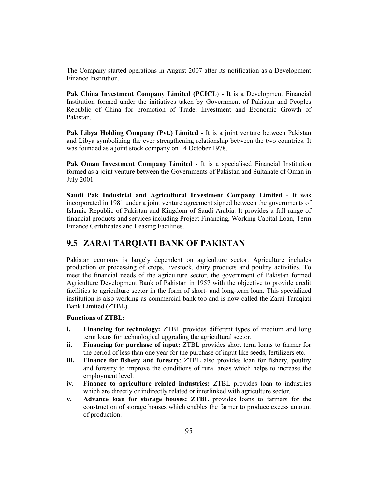The Company started operations in August 2007 after its notification as a Development Finance Institution.

Pak China Investment Company Limited (PCICL) - It is a Development Financial Institution formed under the initiatives taken by Government of Pakistan and Peoples Republic of China for promotion of Trade, Investment and Economic Growth of Pakistan.

**Pak Libya Holding Company (Pvt.) Limited** - It is a joint venture between Pakistan and Libya symbolizing the ever strengthening relationship between the two countries. It was founded as a joint stock company on 14 October 1978.

**Pak Oman Investment Company Limited** - It is a specialised Financial Institution formed as a joint venture between the Governments of Pakistan and Sultanate of Oman in July 2001.

**Saudi Pak Industrial and Agricultural Investment Company Limited** - It was incorporated in 1981 under a joint venture agreement signed between the governments of Islamic Republic of Pakistan and Kingdom of Saudi Arabia. It provides a full range of financial products and services including Project Financing, Working Capital Loan, Term Finance Certificates and Leasing Facilities.

# **9.5 ZARAI TARQIATI BANK OF PAKISTAN**

Pakistan economy is largely dependent on agriculture sector. Agriculture includes production or processing of crops, livestock, dairy products and poultry activities. To meet the financial needs of the agriculture sector, the government of Pakistan formed Agriculture Development Bank of Pakistan in 1957 with the objective to provide credit facilities to agriculture sector in the form of short- and long-term loan. This specialized institution is also working as commercial bank too and is now called the Zarai Taraqiati Bank Limited (ZTBL).

#### **Functions of ZTBL:**

- **i. Financing for technology:** ZTBL provides different types of medium and long term loans for technological upgrading the agricultural sector.
- **ii. Financing for purchase of input:** ZTBL provides short term loans to farmer for the period of less than one year for the purchase of input like seeds, fertilizers etc.
- **iii. Finance for fishery and forestry**: ZTBL also provides loan for fishery, poultry and forestry to improve the conditions of rural areas which helps to increase the employment level.
- **iv. Finance to agriculture related industries:** ZTBL provides loan to industries which are directly or indirectly related or interlinked with agriculture sector.
- **v. Advance loan for storage houses: ZTBL** provides loans to farmers for the construction of storage houses which enables the farmer to produce excess amount of production.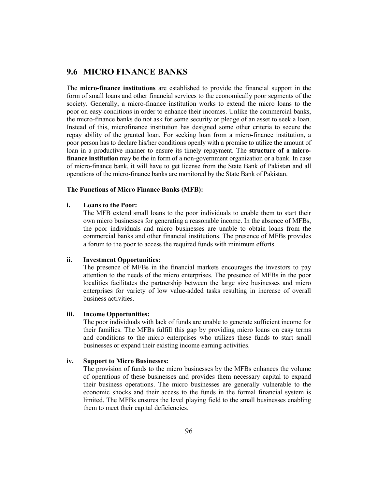# **9.6 MICRO FINANCE BANKS**

The **micro-finance institutions** are established to provide the financial support in the form of small loans and other financial services to the economically poor segments of the society. Generally, a micro-finance institution works to extend the micro loans to the poor on easy conditions in order to enhance their incomes. Unlike the commercial banks, the micro-finance banks do not ask for some security or pledge of an asset to seek a loan. Instead of this, microfinance institution has designed some other criteria to secure the repay ability of the granted loan. For seeking loan from a micro-finance institution, a poor person has to declare his/her conditions openly with a promise to utilize the amount of loan in a productive manner to ensure its timely repayment. The **structure of a microfinance institution** may be the in form of a non-government organization or a bank. In case of micro-finance bank, it will have to get license from the State Bank of Pakistan and all operations of the micro-finance banks are monitored by the State Bank of Pakistan.

# **The Functions of Micro Finance Banks (MFB):**

#### **i. Loans to the Poor:**

The MFB extend small loans to the poor individuals to enable them to start their own micro businesses for generating a reasonable income. In the absence of MFBs, the poor individuals and micro businesses are unable to obtain loans from the commercial banks and other financial institutions. The presence of MFBs provides a forum to the poor to access the required funds with minimum efforts.

#### **ii. Investment Opportunities:**

The presence of MFBs in the financial markets encourages the investors to pay attention to the needs of the micro enterprises. The presence of MFBs in the poor localities facilitates the partnership between the large size businesses and micro enterprises for variety of low value-added tasks resulting in increase of overall business activities.

#### **iii. Income Opportunities:**

The poor individuals with lack of funds are unable to generate sufficient income for their families. The MFBs fulfill this gap by providing micro loans on easy terms and conditions to the micro enterprises who utilizes these funds to start small businesses or expand their existing income earning activities.

#### **iv. Support to Micro Businesses:**

The provision of funds to the micro businesses by the MFBs enhances the volume of operations of these businesses and provides them necessary capital to expand their business operations. The micro businesses are generally vulnerable to the economic shocks and their access to the funds in the formal financial system is limited. The MFBs ensures the level playing field to the small businesses enabling them to meet their capital deficiencies.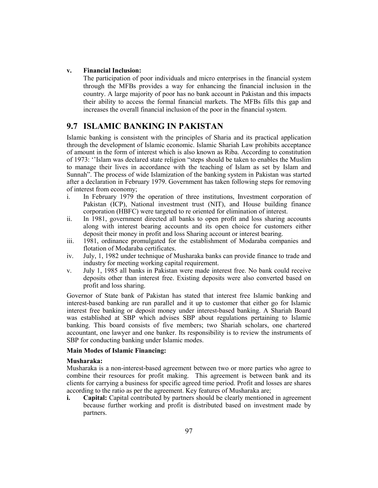### **v. Financial Inclusion:**

The participation of poor individuals and micro enterprises in the financial system through the MFBs provides a way for enhancing the financial inclusion in the country. A large majority of poor has no bank account in Pakistan and this impacts their ability to access the formal financial markets. The MFBs fills this gap and increases the overall financial inclusion of the poor in the financial system.

# **9.7 ISLAMIC BANKING IN PAKISTAN**

Islamic banking is consistent with the principles of Sharia and its practical application through the development of Islamic economic. Islamic Shariah Law prohibits acceptance of amount in the form of interest which is also known as Riba. According to constitution of 1973: ''Islam was declared state religion "steps should be taken to enables the Muslim to manage their lives in accordance with the teaching of Islam as set by Islam and Sunnah". The process of wide Islamization of the banking system in Pakistan was started after a declaration in February 1979. Government has taken following steps for removing of interest from economy;

- i. In February 1979 the operation of three institutions, Investment corporation of Pakistan (ICP), National investment trust (NIT), and House building finance corporation (HBFC) were targeted to re oriented for elimination of interest.
- ii. In 1981, government directed all banks to open profit and loss sharing accounts along with interest bearing accounts and its open choice for customers either deposit their money in profit and loss Sharing account or interest bearing.
- iii. 1981, ordinance promulgated for the establishment of Modaraba companies and flotation of Modaraba certificates.
- iv. July, 1, 1982 under technique of Musharaka banks can provide finance to trade and industry for meeting working capital requirement.
- v. July 1, 1985 all banks in Pakistan were made interest free. No bank could receive deposits other than interest free. Existing deposits were also converted based on profit and loss sharing.

Governor of State bank of Pakistan has stated that interest free Islamic banking and interest-based banking are run parallel and it up to customer that either go for Islamic interest free banking or deposit money under interest-based banking. A Shariah Board was established at SBP which advises SBP about regulations pertaining to Islamic banking. This board consists of five members; two Shariah scholars, one chartered accountant, one lawyer and one banker. Its responsibility is to review the instruments of SBP for conducting banking under Islamic modes.

#### **Main Modes of Islamic Financing:**

#### **Musharaka:**

Musharaka is a non-interest-based agreement between two or more parties who agree to combine their resources for profit making. This agreement is between bank and its clients for carrying a business for specific agreed time period. Profit and losses are shares according to the ratio as per the agreement. Key features of Musharaka are;

**i. Capital:** Capital contributed by partners should be clearly mentioned in agreement because further working and profit is distributed based on investment made by partners.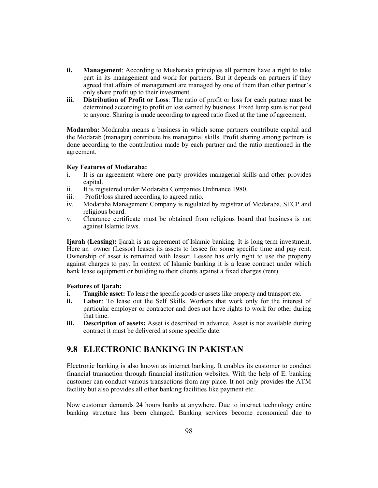- **ii. Management**: According to Musharaka principles all partners have a right to take part in its management and work for partners. But it depends on partners if they agreed that affairs of management are managed by one of them than other partner's only share profit up to their investment.
- **iii. Distribution of Profit or Loss**: The ratio of profit or loss for each partner must be determined according to profit or loss earned by business. Fixed lump sum is not paid to anyone. Sharing is made according to agreed ratio fixed at the time of agreement.

**Modaraba:** Modaraba means a business in which some partners contribute capital and the Modarab (manager) contribute his managerial skills. Profit sharing among partners is done according to the contribution made by each partner and the ratio mentioned in the agreement.

#### **Key Features of Modaraba:**

- i. It is an agreement where one party provides managerial skills and other provides capital.
- ii. It is registered under Modaraba Companies Ordinance 1980.
- iii. Profit/loss shared according to agreed ratio.
- iv. Modaraba Management Company is regulated by registrar of Modaraba, SECP and religious board.
- v. Clearance certificate must be obtained from religious board that business is not against Islamic laws.

**Ijarah (Leasing):** Ijarah is an agreement of Islamic banking. It is long term investment. Here an owner (Lessor) leases its assets to lessee for some specific time and pay rent. Ownership of asset is remained with lessor. Lessee has only right to use the property against charges to pay. In context of Islamic banking it is a lease contract under which bank lease equipment or building to their clients against a fixed charges (rent).

#### **Features of Ijarah:**

- **i. Tangible asset:** To lease the specific goods or assets like property and transport etc.
- **ii. Labor**: To lease out the Self Skills. Workers that work only for the interest of particular employer or contractor and does not have rights to work for other during that time.
- **iii. Description of assets:** Asset is described in advance. Asset is not available during contract it must be delivered at some specific date.

# **9.8 ELECTRONIC BANKING IN PAKISTAN**

Electronic banking is also known as internet banking. It enables its customer to conduct financial transaction through financial institution websites. With the help of E. banking customer can conduct various transactions from any place. It not only provides the ATM facility but also provides all other banking facilities like payment etc.

Now customer demands 24 hours banks at anywhere. Due to internet technology entire banking structure has been changed. Banking services become economical due to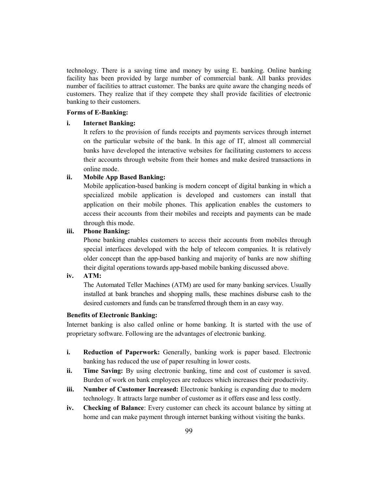technology. There is a saving time and money by using E. banking. Online banking facility has been provided by large number of commercial bank. All banks provides number of facilities to attract customer. The banks are quite aware the changing needs of customers. They realize that if they compete they shall provide facilities of electronic banking to their customers.

#### **Forms of E-Banking:**

#### **i. Internet Banking:**

It refers to the provision of funds receipts and payments services through internet on the particular website of the bank. In this age of IT, almost all commercial banks have developed the interactive websites for facilitating customers to access their accounts through website from their homes and make desired transactions in online mode.

#### **ii. Mobile App Based Banking:**

Mobile application-based banking is modern concept of digital banking in which a specialized mobile application is developed and customers can install that application on their mobile phones. This application enables the customers to access their accounts from their mobiles and receipts and payments can be made through this mode.

#### **iii. Phone Banking:**

Phone banking enables customers to access their accounts from mobiles through special interfaces developed with the help of telecom companies. It is relatively older concept than the app-based banking and majority of banks are now shifting their digital operations towards app-based mobile banking discussed above.

# **iv. ATM:**

The Automated Teller Machines (ATM) are used for many banking services. Usually installed at bank branches and shopping malls, these machines disburse cash to the desired customers and funds can be transferred through them in an easy way.

#### **Benefits of Electronic Banking:**

Internet banking is also called online or home banking. It is started with the use of proprietary software. Following are the advantages of electronic banking.

- **i. Reduction of Paperwork:** Generally, banking work is paper based. Electronic banking has reduced the use of paper resulting in lower costs.
- **ii. Time Saving:** By using electronic banking, time and cost of customer is saved. Burden of work on bank employees are reduces which increases their productivity.
- **iii. Number of Customer Increased:** Electronic banking is expanding due to modern technology. It attracts large number of customer as it offers ease and less costly.
- **iv. Checking of Balance**: Every customer can check its account balance by sitting at home and can make payment through internet banking without visiting the banks.